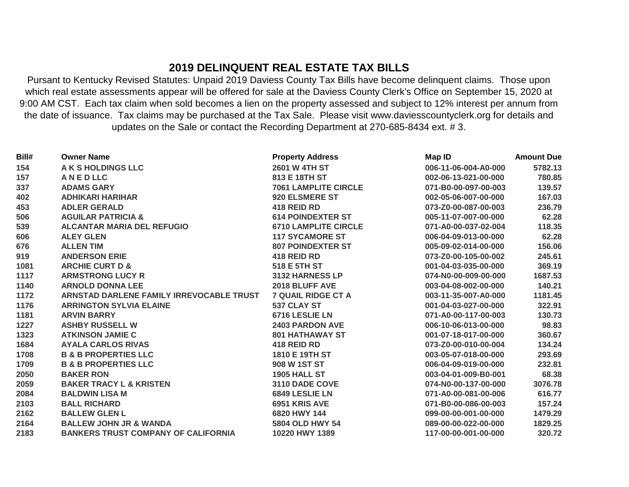## **2019 DELINQUENT REAL ESTATE TAX BILLS**

Pursant to Kentucky Revised Statutes: Unpaid 2019 Daviess County Tax Bills have become delinquent claims. Those upon which real estate assessments appear will be offered for sale at the Daviess County Clerk's Office on September 15, 2020 at 9:00 AM CST. Each tax claim when sold becomes a lien on the property assessed and subject to 12% interest per annum from the date of issuance. Tax claims may be purchased at the Tax Sale. Please visit www.daviesscountyclerk.org for details and updates on the Sale or contact the Recording Department at 270-685-8434 ext. # 3.

| Bill# | <b>Owner Name</b>                          | <b>Property Address</b>     | Map ID               | <b>Amount Due</b> |
|-------|--------------------------------------------|-----------------------------|----------------------|-------------------|
| 154   | A K S HOLDINGS LLC                         | <b>2601 W 4TH ST</b>        | 006-11-06-004-A0-000 | 5782.13           |
| 157   | <b>ANEDLLC</b>                             | 813 E 18TH ST               | 002-06-13-021-00-000 | 780.85            |
| 337   | <b>ADAMS GARY</b>                          | <b>7061 LAMPLITE CIRCLE</b> | 071-B0-00-097-00-003 | 139.57            |
| 402   | <b>ADHIKARI HARIHAR</b>                    | 920 ELSMERE ST              | 002-05-06-007-00-000 | 167.03            |
| 453   | <b>ADLER GERALD</b>                        | 418 REID RD                 | 073-Z0-00-087-00-003 | 236.79            |
| 506   | <b>AGUILAR PATRICIA &amp;</b>              | <b>614 POINDEXTER ST</b>    | 005-11-07-007-00-000 | 62.28             |
| 539   | <b>ALCANTAR MARIA DEL REFUGIO</b>          | <b>6710 LAMPLITE CIRCLE</b> | 071-A0-00-037-02-004 | 118.35            |
| 606   | <b>ALEY GLEN</b>                           | <b>117 SYCAMORE ST</b>      | 006-04-09-013-00-000 | 62.28             |
| 676   | <b>ALLEN TIM</b>                           | <b>807 POINDEXTER ST</b>    | 005-09-02-014-00-000 | 156.06            |
| 919   | <b>ANDERSON ERIE</b>                       | 418 REID RD                 | 073-Z0-00-105-00-002 | 245.61            |
| 1081  | <b>ARCHIE CURT D &amp;</b>                 | 518 E 5TH ST                | 001-04-03-035-00-000 | 369.19            |
| 1117  | <b>ARMSTRONG LUCY R</b>                    | 3132 HARNESS LP             | 074-N0-00-009-00-000 | 1687.53           |
| 1140  | <b>ARNOLD DONNA LEE</b>                    | 2018 BLUFF AVE              | 003-04-08-002-00-000 | 140.21            |
| 1172  | ARNSTAD DARLENE FAMILY IRREVOCABLE TRUST   | <b>7 QUAIL RIDGE CT A</b>   | 003-11-35-007-A0-000 | 1181.45           |
| 1176  | <b>ARRINGTON SYLVIA ELAINE</b>             | 537 CLAY ST                 | 001-04-03-027-00-000 | 322.91            |
| 1181  | <b>ARVIN BARRY</b>                         | 6716 LESLIE LN              | 071-A0-00-117-00-003 | 130.73            |
| 1227  | <b>ASHBY RUSSELL W</b>                     | 2403 PARDON AVE             | 006-10-06-013-00-000 | 98.83             |
| 1323  | <b>ATKINSON JAMIE C</b>                    | <b>801 HATHAWAY ST</b>      | 001-07-18-017-00-000 | 360.67            |
| 1684  | <b>AYALA CARLOS RIVAS</b>                  | 418 REID RD                 | 073-Z0-00-010-00-004 | 134.24            |
| 1708  | <b>B &amp; B PROPERTIES LLC</b>            | 1810 E 19TH ST              | 003-05-07-018-00-000 | 293.69            |
| 1709  | <b>B &amp; B PROPERTIES LLC</b>            | 908 W 1ST ST                | 006-04-09-019-00-000 | 232.81            |
| 2050  | <b>BAKER RON</b>                           | <b>1905 HALL ST</b>         | 003-04-01-009-B0-001 | 68.38             |
| 2059  | <b>BAKER TRACY L &amp; KRISTEN</b>         | 3110 DADE COVE              | 074-N0-00-137-00-000 | 3076.78           |
| 2084  | <b>BALDWIN LISA M</b>                      | 6849 LESLIE LN              | 071-A0-00-081-00-006 | 616.77            |
| 2103  | <b>BALL RICHARD</b>                        | 6951 KRIS AVE               | 071-B0-00-086-00-003 | 157.24            |
| 2162  | <b>BALLEW GLEN L</b>                       | 6820 HWY 144                | 099-00-00-001-00-000 | 1479.29           |
| 2164  | <b>BALLEW JOHN JR &amp; WANDA</b>          | 5804 OLD HWY 54             | 089-00-00-022-00-000 | 1829.25           |
| 2183  | <b>BANKERS TRUST COMPANY OF CALIFORNIA</b> | 10220 HWY 1389              | 117-00-00-001-00-000 | 320.72            |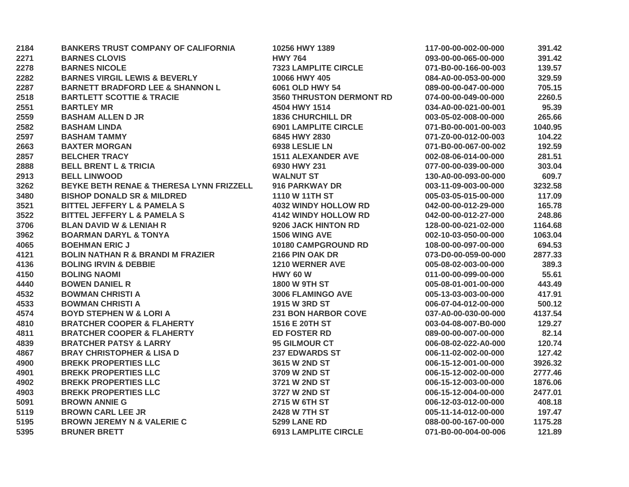| 2184 | <b>BANKERS TRUST COMPANY OF CALIFORNIA</b>          | 10256 HWY 1389                  | 117-00-00-002-00-000 | 391.42  |
|------|-----------------------------------------------------|---------------------------------|----------------------|---------|
| 2271 | <b>BARNES CLOVIS</b>                                | <b>HWY 764</b>                  | 093-00-00-065-00-000 | 391.42  |
| 2278 | <b>BARNES NICOLE</b>                                | <b>7323 LAMPLITE CIRCLE</b>     | 071-B0-00-166-00-003 | 139.57  |
| 2282 | <b>BARNES VIRGIL LEWIS &amp; BEVERLY</b>            | 10066 HWY 405                   | 084-A0-00-053-00-000 | 329.59  |
| 2287 | <b>BARNETT BRADFORD LEE &amp; SHANNON L</b>         | 6061 OLD HWY 54                 | 089-00-00-047-00-000 | 705.15  |
| 2518 | <b>BARTLETT SCOTTIE &amp; TRACIE</b>                | <b>3560 THRUSTON DERMONT RD</b> | 074-00-00-049-00-000 | 2260.5  |
| 2551 | <b>BARTLEY MR</b>                                   | 4504 HWY 1514                   | 034-A0-00-021-00-001 | 95.39   |
| 2559 | <b>BASHAM ALLEN D JR</b>                            | <b>1836 CHURCHILL DR</b>        | 003-05-02-008-00-000 | 265.66  |
| 2582 | <b>BASHAM LINDA</b>                                 | <b>6901 LAMPLITE CIRCLE</b>     | 071-B0-00-001-00-003 | 1040.95 |
| 2597 | <b>BASHAM TAMMY</b>                                 | 6845 HWY 2830                   | 071-Z0-00-012-00-003 | 104.22  |
| 2663 | <b>BAXTER MORGAN</b>                                | 6938 LESLIE LN                  | 071-B0-00-067-00-002 | 192.59  |
| 2857 | <b>BELCHER TRACY</b>                                | <b>1511 ALEXANDER AVE</b>       | 002-08-06-014-00-000 | 281.51  |
| 2888 | <b>BELL BRENT L &amp; TRICIA</b>                    | 6930 HWY 231                    | 077-00-00-039-00-000 | 303.04  |
| 2913 | <b>BELL LINWOOD</b>                                 | <b>WALNUT ST</b>                | 130-A0-00-093-00-000 | 609.7   |
| 3262 | <b>BEYKE BETH RENAE &amp; THERESA LYNN FRIZZELL</b> | 916 PARKWAY DR                  | 003-11-09-003-00-000 | 3232.58 |
| 3480 | <b>BISHOP DONALD SR &amp; MILDRED</b>               | 1110 W 11TH ST                  | 005-03-05-015-00-000 | 117.09  |
| 3521 | <b>BITTEL JEFFERY L &amp; PAMELA S</b>              | <b>4032 WINDY HOLLOW RD</b>     | 042-00-00-012-29-000 | 165.78  |
| 3522 | <b>BITTEL JEFFERY L &amp; PAMELA S</b>              | <b>4142 WINDY HOLLOW RD</b>     | 042-00-00-012-27-000 | 248.86  |
| 3706 | <b>BLAN DAVID W &amp; LENIAH R</b>                  | 9206 JACK HINTON RD             | 128-00-00-021-02-000 | 1164.68 |
| 3962 | <b>BOARMAN DARYL &amp; TONYA</b>                    | 1506 WING AVE                   | 002-10-03-050-00-000 | 1063.04 |
| 4065 | <b>BOEHMAN ERIC J</b>                               | 10180 CAMPGROUND RD             | 108-00-00-097-00-000 | 694.53  |
| 4121 | <b>BOLIN NATHAN R &amp; BRANDI M FRAZIER</b>        | 2166 PIN OAK DR                 | 073-D0-00-059-00-000 | 2877.33 |
| 4136 | <b>BOLING IRVIN &amp; DEBBIE</b>                    | <b>1210 WERNER AVE</b>          | 005-08-02-003-00-000 | 389.3   |
| 4150 | <b>BOLING NAOMI</b>                                 | <b>HWY 60 W</b>                 | 011-00-00-099-00-000 | 55.61   |
| 4440 | <b>BOWEN DANIEL R</b>                               | <b>1800 W 9TH ST</b>            | 005-08-01-001-00-000 | 443.49  |
| 4532 | <b>BOWMAN CHRISTI A</b>                             | 3006 FLAMINGO AVE               | 005-13-03-003-00-000 | 417.91  |
| 4533 | <b>BOWMAN CHRISTI A</b>                             | <b>1915 W 3RD ST</b>            | 006-07-04-012-00-000 | 500.12  |
| 4574 | <b>BOYD STEPHEN W &amp; LORI A</b>                  | <b>231 BON HARBOR COVE</b>      | 037-A0-00-030-00-000 | 4137.54 |
| 4810 | <b>BRATCHER COOPER &amp; FLAHERTY</b>               | 1516 E 20TH ST                  | 003-04-08-007-B0-000 | 129.27  |
| 4811 | <b>BRATCHER COOPER &amp; FLAHERTY</b>               | <b>ED FOSTER RD</b>             | 089-00-00-007-00-000 | 82.14   |
| 4839 | <b>BRATCHER PATSY &amp; LARRY</b>                   | <b>95 GILMOUR CT</b>            | 006-08-02-022-A0-000 | 120.74  |
| 4867 | <b>BRAY CHRISTOPHER &amp; LISA D</b>                | <b>237 EDWARDS ST</b>           | 006-11-02-002-00-000 | 127.42  |
| 4900 | <b>BREKK PROPERTIES LLC</b>                         | 3615 W 2ND ST                   | 006-15-12-001-00-000 | 3926.32 |
| 4901 | <b>BREKK PROPERTIES LLC</b>                         | 3709 W 2ND ST                   | 006-15-12-002-00-000 | 2777.46 |
| 4902 | <b>BREKK PROPERTIES LLC</b>                         | 3721 W 2ND ST                   | 006-15-12-003-00-000 | 1876.06 |
| 4903 | <b>BREKK PROPERTIES LLC</b>                         | 3727 W 2ND ST                   | 006-15-12-004-00-000 | 2477.01 |
| 5091 | <b>BROWN ANNIE G</b>                                | 2715 W 6TH ST                   | 006-12-03-012-00-000 | 408.18  |
| 5119 | <b>BROWN CARL LEE JR</b>                            | 2428 W 7TH ST                   | 005-11-14-012-00-000 | 197.47  |
| 5195 | <b>BROWN JEREMY N &amp; VALERIE C</b>               | <b>5299 LANE RD</b>             | 088-00-00-167-00-000 | 1175.28 |
| 5395 | <b>BRUNER BRETT</b>                                 | <b>6913 LAMPLITE CIRCLE</b>     | 071-B0-00-004-00-006 | 121.89  |
|      |                                                     |                                 |                      |         |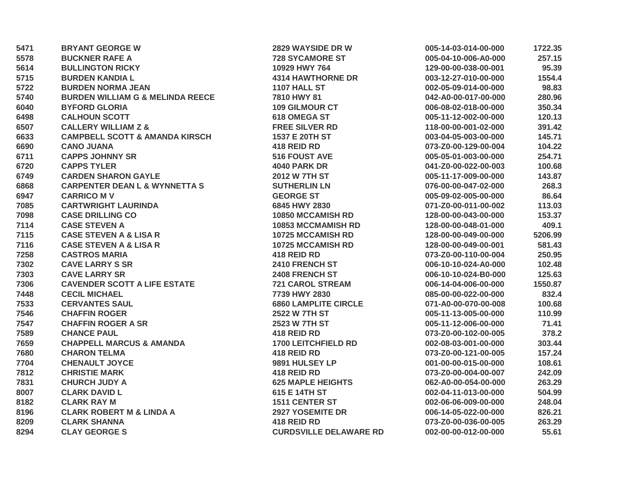| 5471 | <b>BRYANT GEORGE W</b>                      | 2829 WAYSIDE DR W             | 005-14-03-014-00-000 | 1722.35 |
|------|---------------------------------------------|-------------------------------|----------------------|---------|
| 5578 | <b>BUCKNER RAFE A</b>                       | <b>728 SYCAMORE ST</b>        | 005-04-10-006-A0-000 | 257.15  |
| 5614 | <b>BULLINGTON RICKY</b>                     | 10929 HWY 764                 | 129-00-00-038-00-001 | 95.39   |
| 5715 | <b>BURDEN KANDIA L</b>                      | <b>4314 HAWTHORNE DR</b>      | 003-12-27-010-00-000 | 1554.4  |
| 5722 | <b>BURDEN NORMA JEAN</b>                    | 1107 HALL ST                  | 002-05-09-014-00-000 | 98.83   |
| 5740 | <b>BURDEN WILLIAM G &amp; MELINDA REECE</b> | 7810 HWY 81                   | 042-A0-00-017-00-000 | 280.96  |
| 6040 | <b>BYFORD GLORIA</b>                        | <b>109 GILMOUR CT</b>         | 006-08-02-018-00-000 | 350.34  |
| 6498 | <b>CALHOUN SCOTT</b>                        | <b>618 OMEGA ST</b>           | 005-11-12-002-00-000 | 120.13  |
| 6507 | <b>CALLERY WILLIAM Z &amp;</b>              | <b>FREE SILVER RD</b>         | 118-00-00-001-02-000 | 391.42  |
| 6633 | <b>CAMPBELL SCOTT &amp; AMANDA KIRSCH</b>   | 1537 E 20TH ST                | 003-04-05-003-00-000 | 145.71  |
| 6690 | <b>CANO JUANA</b>                           | 418 REID RD                   | 073-Z0-00-129-00-004 | 104.22  |
| 6711 | <b>CAPPS JOHNNY SR</b>                      | <b>516 FOUST AVE</b>          | 005-05-01-003-00-000 | 254.71  |
| 6720 | <b>CAPPS TYLER</b>                          | <b>4040 PARK DR</b>           | 041-Z0-00-022-00-003 | 100.68  |
| 6749 | <b>CARDEN SHARON GAYLE</b>                  | <b>2012 W 7TH ST</b>          | 005-11-17-009-00-000 | 143.87  |
| 6868 | <b>CARPENTER DEAN L &amp; WYNNETTA S</b>    | <b>SUTHERLIN LN</b>           | 076-00-00-047-02-000 | 268.3   |
| 6947 | <b>CARRICO MV</b>                           | <b>GEORGE ST</b>              | 005-09-02-005-00-000 | 86.64   |
| 7085 | <b>CARTWRIGHT LAURINDA</b>                  | 6845 HWY 2830                 | 071-Z0-00-011-00-002 | 113.03  |
| 7098 | <b>CASE DRILLING CO</b>                     | <b>10850 MCCAMISH RD</b>      | 128-00-00-043-00-000 | 153.37  |
| 7114 | <b>CASE STEVEN A</b>                        | <b>10853 MCCMAMISH RD</b>     | 128-00-00-048-01-000 | 409.1   |
| 7115 | <b>CASE STEVEN A &amp; LISA R</b>           | <b>10725 MCCAMISH RD</b>      | 128-00-00-049-00-000 | 5206.99 |
| 7116 | <b>CASE STEVEN A &amp; LISA R</b>           | <b>10725 MCCAMISH RD</b>      | 128-00-00-049-00-001 | 581.43  |
| 7258 | <b>CASTROS MARIA</b>                        | 418 REID RD                   | 073-Z0-00-110-00-004 | 250.95  |
| 7302 | <b>CAVE LARRY S SR</b>                      | 2410 FRENCH ST                | 006-10-10-024-A0-000 | 102.48  |
| 7303 | <b>CAVE LARRY SR</b>                        | <b>2408 FRENCH ST</b>         | 006-10-10-024-B0-000 | 125.63  |
| 7306 | <b>CAVENDER SCOTT A LIFE ESTATE</b>         | <b>721 CAROL STREAM</b>       | 006-14-04-006-00-000 | 1550.87 |
| 7448 | <b>CECIL MICHAEL</b>                        | 7739 HWY 2830                 | 085-00-00-022-00-000 | 832.4   |
| 7533 | <b>CERVANTES SAUL</b>                       | <b>6860 LAMPLITE CIRCLE</b>   | 071-A0-00-070-00-008 | 100.68  |
| 7546 | <b>CHAFFIN ROGER</b>                        | <b>2522 W 7TH ST</b>          | 005-11-13-005-00-000 | 110.99  |
| 7547 | <b>CHAFFIN ROGER A SR</b>                   | 2523 W 7TH ST                 | 005-11-12-006-00-000 | 71.41   |
| 7589 | <b>CHANCE PAUL</b>                          | 418 REID RD                   | 073-Z0-00-102-00-005 | 378.2   |
| 7659 | <b>CHAPPELL MARCUS &amp; AMANDA</b>         | <b>1700 LEITCHFIELD RD</b>    | 002-08-03-001-00-000 | 303.44  |
| 7680 | <b>CHARON TELMA</b>                         | 418 REID RD                   | 073-Z0-00-121-00-005 | 157.24  |
| 7704 | <b>CHENAULT JOYCE</b>                       | 9891 HULSEY LP                | 001-00-00-015-00-000 | 108.61  |
| 7812 | <b>CHRISTIE MARK</b>                        | 418 REID RD                   | 073-Z0-00-004-00-007 | 242.09  |
| 7831 | <b>CHURCH JUDY A</b>                        | <b>625 MAPLE HEIGHTS</b>      | 062-A0-00-054-00-000 | 263.29  |
| 8007 | <b>CLARK DAVID L</b>                        | 615 E 14TH ST                 | 002-04-11-013-00-000 | 504.99  |
| 8182 | <b>CLARK RAY M</b>                          | <b>1511 CENTER ST</b>         | 002-06-06-009-00-000 | 248.04  |
| 8196 | <b>CLARK ROBERT M &amp; LINDA A</b>         | <b>2927 YOSEMITE DR</b>       | 006-14-05-022-00-000 | 826.21  |
| 8209 | <b>CLARK SHANNA</b>                         | 418 REID RD                   | 073-Z0-00-036-00-005 | 263.29  |
| 8294 | <b>CLAY GEORGE S</b>                        | <b>CURDSVILLE DELAWARE RD</b> | 002-00-00-012-00-000 | 55.61   |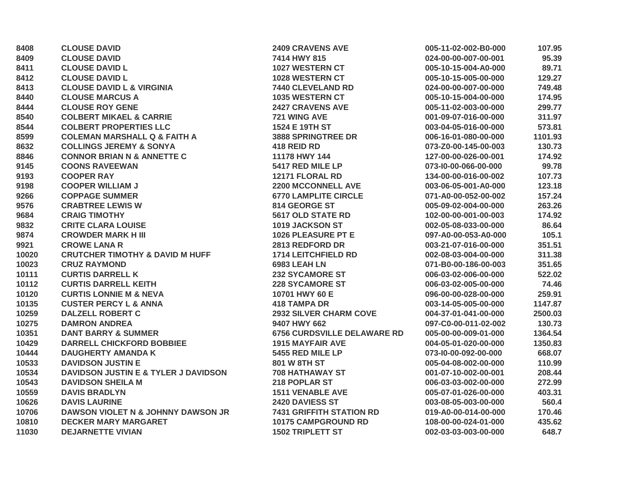| 8408  | <b>CLOUSE DAVID</b>                             | <b>2409 CRAVENS AVE</b>            | 005-11-02-002-B0-000 | 107.95  |
|-------|-------------------------------------------------|------------------------------------|----------------------|---------|
| 8409  | <b>CLOUSE DAVID</b>                             | 7414 HWY 815                       | 024-00-00-007-00-001 | 95.39   |
| 8411  | <b>CLOUSE DAVID L</b>                           | <b>1027 WESTERN CT</b>             | 005-10-15-004-A0-000 | 89.71   |
| 8412  | <b>CLOUSE DAVID L</b>                           | 1028 WESTERN CT                    | 005-10-15-005-00-000 | 129.27  |
| 8413  | <b>CLOUSE DAVID L &amp; VIRGINIA</b>            | 7440 CLEVELAND RD                  | 024-00-00-007-00-000 | 749.48  |
| 8440  | <b>CLOUSE MARCUS A</b>                          | <b>1035 WESTERN CT</b>             | 005-10-15-004-00-000 | 174.95  |
| 8444  | <b>CLOUSE ROY GENE</b>                          | <b>2427 CRAVENS AVE</b>            | 005-11-02-003-00-000 | 299.77  |
| 8540  | <b>COLBERT MIKAEL &amp; CARRIE</b>              | 721 WING AVE                       | 001-09-07-016-00-000 | 311.97  |
| 8544  | <b>COLBERT PROPERTIES LLC</b>                   | 1524 E 19TH ST                     | 003-04-05-016-00-000 | 573.81  |
| 8599  | <b>COLEMAN MARSHALL Q &amp; FAITH A</b>         | <b>3888 SPRINGTREE DR</b>          | 006-16-01-080-00-000 | 1101.93 |
| 8632  | <b>COLLINGS JEREMY &amp; SONYA</b>              | 418 REID RD                        | 073-Z0-00-145-00-003 | 130.73  |
| 8846  | <b>CONNOR BRIAN N &amp; ANNETTE C</b>           | 11178 HWY 144                      | 127-00-00-026-00-001 | 174.92  |
| 9145  | <b>COONS RAVEEWAN</b>                           | 5417 RED MILE LP                   | 073-10-00-066-00-000 | 99.78   |
| 9193  | <b>COOPER RAY</b>                               | 12171 FLORAL RD                    | 134-00-00-016-00-002 | 107.73  |
| 9198  | <b>COOPER WILLIAM J</b>                         | <b>2200 MCCONNELL AVE</b>          | 003-06-05-001-A0-000 | 123.18  |
| 9266  | <b>COPPAGE SUMMER</b>                           | <b>6770 LAMPLITE CIRCLE</b>        | 071-A0-00-052-00-002 | 157.24  |
| 9576  | <b>CRABTREE LEWIS W</b>                         | 814 GEORGE ST                      | 005-09-02-004-00-000 | 263.26  |
| 9684  | <b>CRAIG TIMOTHY</b>                            | 5617 OLD STATE RD                  | 102-00-00-001-00-003 | 174.92  |
| 9832  | <b>CRITE CLARA LOUISE</b>                       | 1019 JACKSON ST                    | 002-05-08-033-00-000 | 86.64   |
| 9874  | <b>CROWDER MARK H III</b>                       | 1026 PLEASURE PT E                 | 097-A0-00-053-A0-000 | 105.1   |
| 9921  | <b>CROWE LANA R</b>                             | 2813 REDFORD DR                    | 003-21-07-016-00-000 | 351.51  |
| 10020 | <b>CRUTCHER TIMOTHY &amp; DAVID M HUFF</b>      | <b>1714 LEITCHFIELD RD</b>         | 002-08-03-004-00-000 | 311.38  |
| 10023 | <b>CRUZ RAYMOND</b>                             | 6983 LEAH LN                       | 071-B0-00-186-00-003 | 351.65  |
| 10111 | <b>CURTIS DARRELL K</b>                         | <b>232 SYCAMORE ST</b>             | 006-03-02-006-00-000 | 522.02  |
| 10112 | <b>CURTIS DARRELL KEITH</b>                     | <b>228 SYCAMORE ST</b>             | 006-03-02-005-00-000 | 74.46   |
| 10120 | <b>CURTIS LONNIE M &amp; NEVA</b>               | 10701 HWY 60 E                     | 096-00-00-028-00-000 | 259.91  |
| 10135 | <b>CUSTER PERCY L &amp; ANNA</b>                | <b>418 TAMPA DR</b>                | 003-14-05-005-00-000 | 1147.87 |
| 10259 | <b>DALZELL ROBERT C</b>                         | <b>2932 SILVER CHARM COVE</b>      | 004-37-01-041-00-000 | 2500.03 |
| 10275 | <b>DAMRON ANDREA</b>                            | 9407 HWY 662                       | 097-C0-00-011-02-002 | 130.73  |
| 10351 | <b>DANT BARRY &amp; SUMMER</b>                  | <b>6756 CURDSVILLE DELAWARE RD</b> | 005-00-00-009-01-000 | 1364.54 |
| 10429 | <b>DARRELL CHICKFORD BOBBIEE</b>                | <b>1915 MAYFAIR AVE</b>            | 004-05-01-020-00-000 | 1350.83 |
| 10444 | <b>DAUGHERTY AMANDA K</b>                       | 5455 RED MILE LP                   | 073-10-00-092-00-000 | 668.07  |
| 10533 | <b>DAVIDSON JUSTIN E</b>                        | 801 W 8TH ST                       | 005-04-08-002-00-000 | 110.99  |
| 10534 | <b>DAVIDSON JUSTIN E &amp; TYLER J DAVIDSON</b> | <b>708 HATHAWAY ST</b>             | 001-07-10-002-00-001 | 208.44  |
| 10543 | <b>DAVIDSON SHEILA M</b>                        | 218 POPLAR ST                      | 006-03-03-002-00-000 | 272.99  |
| 10559 | <b>DAVIS BRADLYN</b>                            | <b>1511 VENABLE AVE</b>            | 005-07-01-026-00-000 | 403.31  |
| 10626 | <b>DAVIS LAURINE</b>                            | 2420 DAVIESS ST                    | 003-08-05-003-00-000 | 560.4   |
| 10706 | DAWSON VIOLET N & JOHNNY DAWSON JR              | <b>7431 GRIFFITH STATION RD</b>    | 019-A0-00-014-00-000 | 170.46  |
| 10810 | <b>DECKER MARY MARGARET</b>                     | <b>10175 CAMPGROUND RD</b>         | 108-00-00-024-01-000 | 435.62  |
| 11030 | <b>DEJARNETTE VIVIAN</b>                        | <b>1502 TRIPLETT ST</b>            | 002-03-03-003-00-000 | 648.7   |
|       |                                                 |                                    |                      |         |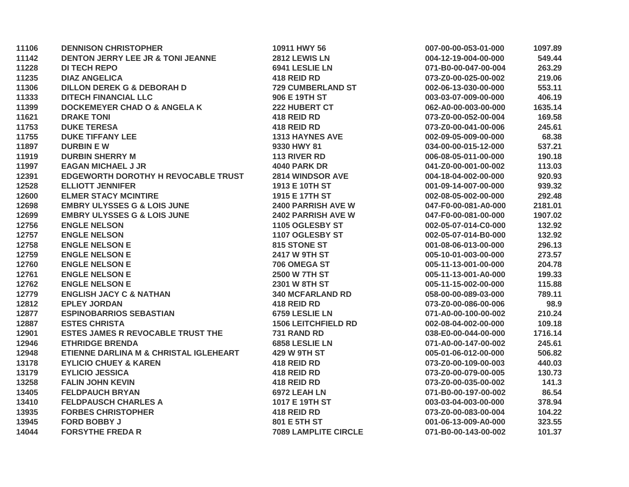| 11106 | <b>DENNISON CHRISTOPHER</b>                  | 10911 HWY 56                | 007-00-00-053-01-000 | 1097.89 |
|-------|----------------------------------------------|-----------------------------|----------------------|---------|
| 11142 | <b>DENTON JERRY LEE JR &amp; TONI JEANNE</b> | 2812 LEWIS LN               | 004-12-19-004-00-000 | 549.44  |
| 11228 | <b>DI TECH REPO</b>                          | 6941 LESLIE LN              | 071-B0-00-047-00-004 | 263.29  |
| 11235 | <b>DIAZ ANGELICA</b>                         | 418 REID RD                 | 073-Z0-00-025-00-002 | 219.06  |
| 11306 | <b>DILLON DEREK G &amp; DEBORAH D</b>        | <b>729 CUMBERLAND ST</b>    | 002-06-13-030-00-000 | 553.11  |
| 11333 | <b>DITECH FINANCIAL LLC</b>                  | 906 E 19TH ST               | 003-03-07-009-00-000 | 406.19  |
| 11399 | <b>DOCKEMEYER CHAD O &amp; ANGELA K</b>      | 222 HUBERT CT               | 062-A0-00-003-00-000 | 1635.14 |
| 11621 | <b>DRAKE TONI</b>                            | 418 REID RD                 | 073-Z0-00-052-00-004 | 169.58  |
| 11753 | <b>DUKE TERESA</b>                           | 418 REID RD                 | 073-Z0-00-041-00-006 | 245.61  |
| 11755 | <b>DUKE TIFFANY LEE</b>                      | <b>1313 HAYNES AVE</b>      | 002-09-05-009-00-000 | 68.38   |
| 11897 | <b>DURBIN EW</b>                             | 9330 HWY 81                 | 034-00-00-015-12-000 | 537.21  |
| 11919 | <b>DURBIN SHERRY M</b>                       | <b>113 RIVER RD</b>         | 006-08-05-011-00-000 | 190.18  |
| 11997 | <b>EAGAN MICHAEL J JR</b>                    | <b>4040 PARK DR</b>         | 041-Z0-00-001-00-002 | 113.03  |
| 12391 | EDGEWORTH DOROTHY H REVOCABLE TRUST          | <b>2814 WINDSOR AVE</b>     | 004-18-04-002-00-000 | 920.93  |
| 12528 | <b>ELLIOTT JENNIFER</b>                      | 1913 E 10TH ST              | 001-09-14-007-00-000 | 939.32  |
| 12600 | <b>ELMER STACY MCINTIRE</b>                  | 1915 E 17TH ST              | 002-08-05-002-00-000 | 292.48  |
| 12698 | <b>EMBRY ULYSSES G &amp; LOIS JUNE</b>       | <b>2400 PARRISH AVE W</b>   | 047-F0-00-081-A0-000 | 2181.01 |
| 12699 | <b>EMBRY ULYSSES G &amp; LOIS JUNE</b>       | <b>2402 PARRISH AVE W</b>   | 047-F0-00-081-00-000 | 1907.02 |
| 12756 | <b>ENGLE NELSON</b>                          | 1105 OGLESBY ST             | 002-05-07-014-C0-000 | 132.92  |
| 12757 | <b>ENGLE NELSON</b>                          | 1107 OGLESBY ST             | 002-05-07-014-B0-000 | 132.92  |
| 12758 | <b>ENGLE NELSON E</b>                        | 815 STONE ST                | 001-08-06-013-00-000 | 296.13  |
| 12759 | <b>ENGLE NELSON E</b>                        | 2417 W 9TH ST               | 005-10-01-003-00-000 | 273.57  |
| 12760 | <b>ENGLE NELSON E</b>                        | 706 OMEGA ST                | 005-11-13-001-00-000 | 204.78  |
| 12761 | <b>ENGLE NELSON E</b>                        | <b>2500 W 7TH ST</b>        | 005-11-13-001-A0-000 | 199.33  |
| 12762 | <b>ENGLE NELSON E</b>                        | 2301 W 8TH ST               | 005-11-15-002-00-000 | 115.88  |
| 12779 | <b>ENGLISH JACY C &amp; NATHAN</b>           | <b>340 MCFARLAND RD</b>     | 058-00-00-089-03-000 | 789.11  |
| 12812 | <b>EPLEY JORDAN</b>                          | 418 REID RD                 | 073-Z0-00-086-00-006 | 98.9    |
| 12877 | <b>ESPINOBARRIOS SEBASTIAN</b>               | 6759 LESLIE LN              | 071-A0-00-100-00-002 | 210.24  |
| 12887 | <b>ESTES CHRISTA</b>                         | <b>1506 LEITCHFIELD RD</b>  | 002-08-04-002-00-000 | 109.18  |
| 12901 | <b>ESTES JAMES R REVOCABLE TRUST THE</b>     | 731 RAND RD                 | 038-E0-00-044-00-000 | 1716.14 |
| 12946 | <b>ETHRIDGE BRENDA</b>                       | 6858 LESLIE LN              | 071-A0-00-147-00-002 | 245.61  |
| 12948 | ETIENNE DARLINA M & CHRISTAL IGLEHEART       | <b>429 W 9TH ST</b>         | 005-01-06-012-00-000 | 506.82  |
| 13178 | <b>EYLICIO CHUEY &amp; KAREN</b>             | 418 REID RD                 | 073-Z0-00-109-00-003 | 440.03  |
| 13179 | <b>EYLICIO JESSICA</b>                       | 418 REID RD                 | 073-Z0-00-079-00-005 | 130.73  |
| 13258 | <b>FALIN JOHN KEVIN</b>                      | 418 REID RD                 | 073-Z0-00-035-00-002 | 141.3   |
| 13405 | <b>FELDPAUCH BRYAN</b>                       | 6972 LEAH LN                | 071-B0-00-197-00-002 | 86.54   |
| 13410 | <b>FELDPAUSCH CHARLES A</b>                  | 1017 E 19TH ST              | 003-03-04-003-00-000 | 378.94  |
| 13935 | <b>FORBES CHRISTOPHER</b>                    | 418 REID RD                 | 073-Z0-00-083-00-004 | 104.22  |
| 13945 | <b>FORD BOBBY J</b>                          | 801 E 5TH ST                | 001-06-13-009-A0-000 | 323.55  |
| 14044 | <b>FORSYTHE FREDAR</b>                       | <b>7089 LAMPLITE CIRCLE</b> | 071-B0-00-143-00-002 | 101.37  |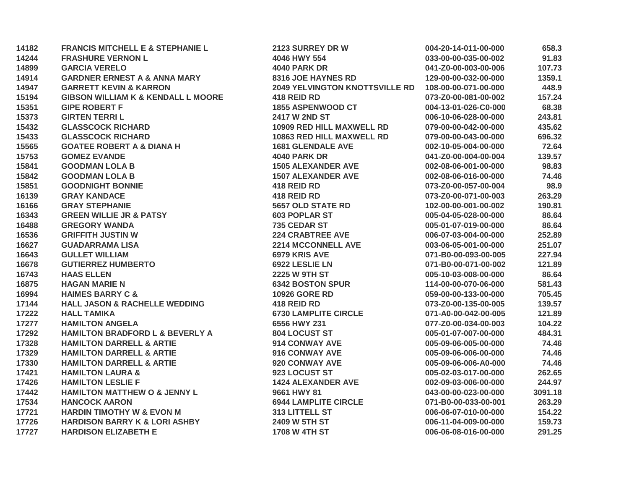| 14182 | <b>FRANCIS MITCHELL E &amp; STEPHANIE L</b>   | 2123 SURREY DR W                      | 004-20-14-011-00-000 | 658.3   |
|-------|-----------------------------------------------|---------------------------------------|----------------------|---------|
| 14244 | <b>FRASHURE VERNON L</b>                      | 4046 HWY 554                          | 033-00-00-035-00-002 | 91.83   |
| 14899 | <b>GARCIA VERELO</b>                          | <b>4040 PARK DR</b>                   | 041-Z0-00-003-00-006 | 107.73  |
| 14914 | <b>GARDNER ERNEST A &amp; ANNA MARY</b>       | 8316 JOE HAYNES RD                    | 129-00-00-032-00-000 | 1359.1  |
| 14947 | <b>GARRETT KEVIN &amp; KARRON</b>             | <b>2049 YELVINGTON KNOTTSVILLE RD</b> | 108-00-00-071-00-000 | 448.9   |
| 15194 | <b>GIBSON WILLIAM K &amp; KENDALL L MOORE</b> | 418 REID RD                           | 073-Z0-00-081-00-002 | 157.24  |
| 15351 | <b>GIPE ROBERT F</b>                          | <b>1855 ASPENWOOD CT</b>              | 004-13-01-026-C0-000 | 68.38   |
| 15373 | <b>GIRTEN TERRIL</b>                          | <b>2417 W 2ND ST</b>                  | 006-10-06-028-00-000 | 243.81  |
| 15432 | <b>GLASSCOCK RICHARD</b>                      | 10909 RED HILL MAXWELL RD             | 079-00-00-042-00-000 | 435.62  |
| 15433 | <b>GLASSCOCK RICHARD</b>                      | <b>10863 RED HILL MAXWELL RD</b>      | 079-00-00-043-00-000 | 696.32  |
| 15565 | <b>GOATEE ROBERT A &amp; DIANA H</b>          | <b>1681 GLENDALE AVE</b>              | 002-10-05-004-00-000 | 72.64   |
| 15753 | <b>GOMEZ EVANDE</b>                           | <b>4040 PARK DR</b>                   | 041-Z0-00-004-00-004 | 139.57  |
| 15841 | <b>GOODMAN LOLA B</b>                         | <b>1505 ALEXANDER AVE</b>             | 002-08-06-001-00-000 | 98.83   |
| 15842 | <b>GOODMAN LOLA B</b>                         | <b>1507 ALEXANDER AVE</b>             | 002-08-06-016-00-000 | 74.46   |
| 15851 | <b>GOODNIGHT BONNIE</b>                       | 418 REID RD                           | 073-Z0-00-057-00-004 | 98.9    |
| 16139 | <b>GRAY KANDACE</b>                           | 418 REID RD                           | 073-Z0-00-071-00-003 | 263.29  |
| 16166 | <b>GRAY STEPHANIE</b>                         | <b>5657 OLD STATE RD</b>              | 102-00-00-001-00-002 | 190.81  |
| 16343 | <b>GREEN WILLIE JR &amp; PATSY</b>            | <b>603 POPLAR ST</b>                  | 005-04-05-028-00-000 | 86.64   |
| 16488 | <b>GREGORY WANDA</b>                          | 735 CEDAR ST                          | 005-01-07-019-00-000 | 86.64   |
| 16536 | <b>GRIFFITH JUSTIN W</b>                      | <b>224 CRABTREE AVE</b>               | 006-07-03-004-00-000 | 252.89  |
| 16627 | <b>GUADARRAMA LISA</b>                        | <b>2214 MCCONNELL AVE</b>             | 003-06-05-001-00-000 | 251.07  |
| 16643 | <b>GULLET WILLIAM</b>                         | 6979 KRIS AVE                         | 071-B0-00-093-00-005 | 227.94  |
| 16678 | <b>GUTIERREZ HUMBERTO</b>                     | 6922 LESLIE LN                        | 071-B0-00-071-00-002 | 121.89  |
| 16743 | <b>HAAS ELLEN</b>                             | <b>2225 W 9TH ST</b>                  | 005-10-03-008-00-000 | 86.64   |
| 16875 | <b>HAGAN MARIE N</b>                          | <b>6342 BOSTON SPUR</b>               | 114-00-00-070-06-000 | 581.43  |
| 16994 | <b>HAIMES BARRY C &amp;</b>                   | <b>10926 GORE RD</b>                  | 059-00-00-133-00-000 | 705.45  |
| 17144 | <b>HALL JASON &amp; RACHELLE WEDDING</b>      | 418 REID RD                           | 073-Z0-00-135-00-005 | 139.57  |
| 17222 | <b>HALL TAMIKA</b>                            | <b>6730 LAMPLITE CIRCLE</b>           | 071-A0-00-042-00-005 | 121.89  |
| 17277 | <b>HAMILTON ANGELA</b>                        | 6556 HWY 231                          | 077-Z0-00-034-00-003 | 104.22  |
| 17292 | <b>HAMILTON BRADFORD L &amp; BEVERLY A</b>    | 804 LOCUST ST                         | 005-01-07-007-00-000 | 484.31  |
| 17328 | <b>HAMILTON DARRELL &amp; ARTIE</b>           | 914 CONWAY AVE                        | 005-09-06-005-00-000 | 74.46   |
| 17329 | <b>HAMILTON DARRELL &amp; ARTIE</b>           | 916 CONWAY AVE                        | 005-09-06-006-00-000 | 74.46   |
| 17330 | <b>HAMILTON DARRELL &amp; ARTIE</b>           | 920 CONWAY AVE                        | 005-09-06-006-A0-000 | 74.46   |
| 17421 | <b>HAMILTON LAURA &amp;</b>                   | 923 LOCUST ST                         | 005-02-03-017-00-000 | 262.65  |
| 17426 | <b>HAMILTON LESLIE F</b>                      | <b>1424 ALEXANDER AVE</b>             | 002-09-03-006-00-000 | 244.97  |
| 17442 | <b>HAMILTON MATTHEW O &amp; JENNY L</b>       | 9661 HWY 81                           | 043-00-00-023-00-000 | 3091.18 |
| 17534 | <b>HANCOCK AARON</b>                          | <b>6944 LAMPLITE CIRCLE</b>           | 071-B0-00-033-00-001 | 263.29  |
| 17721 | <b>HARDIN TIMOTHY W &amp; EVON M</b>          | 313 LITTELL ST                        | 006-06-07-010-00-000 | 154.22  |
| 17726 | <b>HARDISON BARRY K &amp; LORI ASHBY</b>      | 2409 W 5TH ST                         | 006-11-04-009-00-000 | 159.73  |
| 17727 | <b>HARDISON ELIZABETH E</b>                   | <b>1708 W 4TH ST</b>                  | 006-06-08-016-00-000 | 291.25  |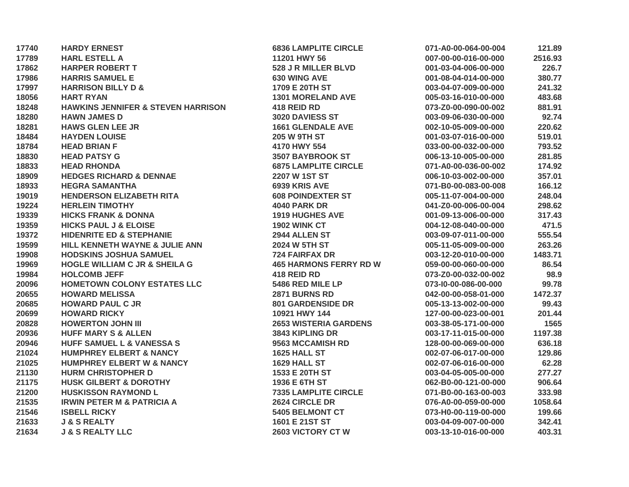| 17740 | <b>HARDY ERNEST</b>                           | <b>6836 LAMPLITE CIRCLE</b>   | 071-A0-00-064-00-004 | 121.89  |
|-------|-----------------------------------------------|-------------------------------|----------------------|---------|
| 17789 | <b>HARL ESTELL A</b>                          | 11201 HWY 56                  | 007-00-00-016-00-000 | 2516.93 |
| 17862 | <b>HARPER ROBERT T</b>                        | 528 J R MILLER BLVD           | 001-03-04-006-00-000 | 226.7   |
| 17986 | <b>HARRIS SAMUEL E</b>                        | <b>630 WING AVE</b>           | 001-08-04-014-00-000 | 380.77  |
| 17997 | <b>HARRISON BILLY D &amp;</b>                 | 1709 E 20TH ST                | 003-04-07-009-00-000 | 241.32  |
| 18056 | <b>HART RYAN</b>                              | <b>1301 MORELAND AVE</b>      | 005-03-16-010-00-000 | 483.68  |
| 18248 | <b>HAWKINS JENNIFER &amp; STEVEN HARRISON</b> | 418 REID RD                   | 073-Z0-00-090-00-002 | 881.91  |
| 18280 | <b>HAWN JAMES D</b>                           | 3020 DAVIESS ST               | 003-09-06-030-00-000 | 92.74   |
| 18281 | <b>HAWS GLEN LEE JR</b>                       | <b>1661 GLENDALE AVE</b>      | 002-10-05-009-00-000 | 220.62  |
| 18484 | <b>HAYDEN LOUISE</b>                          | <b>205 W 9TH ST</b>           | 001-03-07-016-00-000 | 519.01  |
| 18784 | <b>HEAD BRIAN F</b>                           | 4170 HWY 554                  | 033-00-00-032-00-000 | 793.52  |
| 18830 | <b>HEAD PATSY G</b>                           | <b>3507 BAYBROOK ST</b>       | 006-13-10-005-00-000 | 281.85  |
| 18833 | <b>HEAD RHONDA</b>                            | <b>6875 LAMPLITE CIRCLE</b>   | 071-A0-00-036-00-002 | 174.92  |
| 18909 | <b>HEDGES RICHARD &amp; DENNAE</b>            | 2207 W 1ST ST                 | 006-10-03-002-00-000 | 357.01  |
| 18933 | <b>HEGRA SAMANTHA</b>                         | 6939 KRIS AVE                 | 071-B0-00-083-00-008 | 166.12  |
| 19019 | <b>HENDERSON ELIZABETH RITA</b>               | <b>608 POINDEXTER ST</b>      | 005-11-07-004-00-000 | 248.04  |
| 19224 | <b>HERLEIN TIMOTHY</b>                        | <b>4040 PARK DR</b>           | 041-Z0-00-006-00-004 | 298.62  |
| 19339 | <b>HICKS FRANK &amp; DONNA</b>                | <b>1919 HUGHES AVE</b>        | 001-09-13-006-00-000 | 317.43  |
| 19359 | <b>HICKS PAUL J &amp; ELOISE</b>              | <b>1902 WINK CT</b>           | 004-12-08-040-00-000 | 471.5   |
| 19372 | <b>HIDENRITE ED &amp; STEPHANIE</b>           | 2944 ALLEN ST                 | 003-09-07-011-00-000 | 555.54  |
| 19599 | HILL KENNETH WAYNE & JULIE ANN                | <b>2024 W 5TH ST</b>          | 005-11-05-009-00-000 | 263.26  |
| 19908 | <b>HODSKINS JOSHUA SAMUEL</b>                 | <b>724 FAIRFAX DR</b>         | 003-12-20-010-00-000 | 1483.71 |
| 19969 | <b>HOGLE WILLIAM C JR &amp; SHEILA G</b>      | <b>465 HARMONS FERRY RD W</b> | 059-00-00-060-00-000 | 86.54   |
| 19984 | <b>HOLCOMB JEFF</b>                           | 418 REID RD                   | 073-Z0-00-032-00-002 | 98.9    |
| 20096 | HOMETOWN COLONY ESTATES LLC                   | 5486 RED MILE LP              | 073-10-00-086-00-000 | 99.78   |
| 20655 | <b>HOWARD MELISSA</b>                         | 2871 BURNS RD                 | 042-00-00-058-01-000 | 1472.37 |
| 20685 | <b>HOWARD PAUL C JR</b>                       | <b>801 GARDENSIDE DR</b>      | 005-13-13-002-00-000 | 99.43   |
| 20699 | <b>HOWARD RICKY</b>                           | 10921 HWY 144                 | 127-00-00-023-00-001 | 201.44  |
| 20828 | <b>HOWERTON JOHN III</b>                      | <b>2653 WISTERIA GARDENS</b>  | 003-38-05-171-00-000 | 1565    |
| 20936 | <b>HUFF MARY S &amp; ALLEN</b>                | 3843 KIPLING DR               | 003-17-11-015-00-000 | 1197.38 |
| 20946 | HUFF SAMUEL L & VANESSA S                     | 9563 MCCAMISH RD              | 128-00-00-069-00-000 | 636.18  |
| 21024 | <b>HUMPHREY ELBERT &amp; NANCY</b>            | 1625 HALL ST                  | 002-07-06-017-00-000 | 129.86  |
| 21025 | <b>HUMPHREY ELBERT W &amp; NANCY</b>          | 1629 HALL ST                  | 002-07-06-016-00-000 | 62.28   |
| 21130 | <b>HURM CHRISTOPHER D</b>                     | 1533 E 20TH ST                | 003-04-05-005-00-000 | 277.27  |
| 21175 | <b>HUSK GILBERT &amp; DOROTHY</b>             | 1936 E 6TH ST                 | 062-B0-00-121-00-000 | 906.64  |
| 21200 | <b>HUSKISSON RAYMOND L</b>                    | <b>7335 LAMPLITE CIRCLE</b>   | 071-B0-00-163-00-003 | 333.98  |
| 21535 | <b>IRWIN PETER M &amp; PATRICIA A</b>         | 2624 CIRCLE DR                | 076-A0-00-059-00-000 | 1058.64 |
| 21546 | <b>ISBELL RICKY</b>                           | <b>5405 BELMONT CT</b>        | 073-H0-00-119-00-000 | 199.66  |
| 21633 | <b>J &amp; S REALTY</b>                       | 1601 E 21ST ST                | 003-04-09-007-00-000 | 342.41  |
| 21634 | <b>J &amp; S REALTY LLC</b>                   | <b>2603 VICTORY CT W</b>      | 003-13-10-016-00-000 | 403.31  |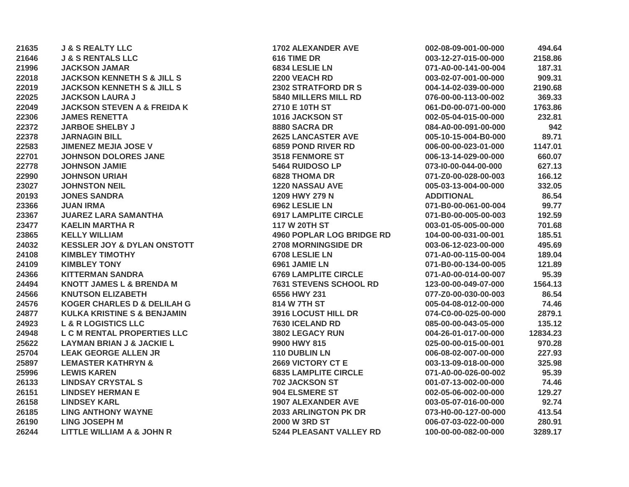| 21635 | <b>J &amp; S REALTY LLC</b>            | <b>1702 ALEXANDER AVE</b>        | 002-08-09-001-00-000 | 494.64   |
|-------|----------------------------------------|----------------------------------|----------------------|----------|
| 21646 | <b>J &amp; S RENTALS LLC</b>           | 616 TIME DR                      | 003-12-27-015-00-000 | 2158.86  |
| 21996 | <b>JACKSON JAMAR</b>                   | 6834 LESLIE LN                   | 071-A0-00-141-00-004 | 187.31   |
| 22018 | <b>JACKSON KENNETH S &amp; JILL S</b>  | 2200 VEACH RD                    | 003-02-07-001-00-000 | 909.31   |
| 22019 | <b>JACKSON KENNETH S &amp; JILL S</b>  | 2302 STRATFORD DR S              | 004-14-02-039-00-000 | 2190.68  |
| 22025 | <b>JACKSON LAURA J</b>                 | <b>5840 MILLERS MILL RD</b>      | 076-00-00-113-00-002 | 369.33   |
| 22049 | <b>JACKSON STEVEN A &amp; FREIDA K</b> | 2710 E 10TH ST                   | 061-D0-00-071-00-000 | 1763.86  |
| 22306 | <b>JAMES RENETTA</b>                   | 1016 JACKSON ST                  | 002-05-04-015-00-000 | 232.81   |
| 22372 | <b>JARBOE SHELBY J</b>                 | 8880 SACRA DR                    | 084-A0-00-091-00-000 | 942      |
| 22378 | <b>JARNAGIN BILL</b>                   | <b>2625 LANCASTER AVE</b>        | 005-10-15-004-B0-000 | 89.71    |
| 22583 | <b>JIMENEZ MEJIA JOSE V</b>            | <b>6859 POND RIVER RD</b>        | 006-00-00-023-01-000 | 1147.01  |
| 22701 | <b>JOHNSON DOLORES JANE</b>            | <b>3518 FENMORE ST</b>           | 006-13-14-029-00-000 | 660.07   |
| 22778 | <b>JOHNSON JAMIE</b>                   | 5464 RUIDOSO LP                  | 073-10-00-044-00-000 | 627.13   |
| 22990 | <b>JOHNSON URIAH</b>                   | <b>6828 THOMA DR</b>             | 071-Z0-00-028-00-003 | 166.12   |
| 23027 | <b>JOHNSTON NEIL</b>                   | 1220 NASSAU AVE                  | 005-03-13-004-00-000 | 332.05   |
| 20193 | <b>JONES SANDRA</b>                    | 1209 HWY 279 N                   | <b>ADDITIONAL</b>    | 86.54    |
| 23366 | <b>JUAN IRMA</b>                       | 6962 LESLIE LN                   | 071-B0-00-061-00-004 | 99.77    |
| 23367 | <b>JUAREZ LARA SAMANTHA</b>            | <b>6917 LAMPLITE CIRCLE</b>      | 071-B0-00-005-00-003 | 192.59   |
| 23477 | <b>KAELIN MARTHA R</b>                 | <b>117 W 20TH ST</b>             | 003-01-05-005-00-000 | 701.68   |
| 23865 | <b>KELLY WILLIAM</b>                   | <b>4960 POPLAR LOG BRIDGE RD</b> | 104-00-00-031-00-001 | 185.51   |
| 24032 | <b>KESSLER JOY &amp; DYLAN ONSTOTT</b> | <b>2708 MORNINGSIDE DR</b>       | 003-06-12-023-00-000 | 495.69   |
| 24108 | <b>KIMBLEY TIMOTHY</b>                 | 6708 LESLIE LN                   | 071-A0-00-115-00-004 | 189.04   |
| 24109 | <b>KIMBLEY TONY</b>                    | 6961 JAMIE LN                    | 071-B0-00-134-00-005 | 121.89   |
| 24366 | <b>KITTERMAN SANDRA</b>                | <b>6769 LAMPLITE CIRCLE</b>      | 071-A0-00-014-00-007 | 95.39    |
| 24494 | <b>KNOTT JAMES L &amp; BRENDA M</b>    | <b>7631 STEVENS SCHOOL RD</b>    | 123-00-00-049-07-000 | 1564.13  |
| 24566 | <b>KNUTSON ELIZABETH</b>               | 6556 HWY 231                     | 077-Z0-00-030-00-003 | 86.54    |
| 24576 | <b>KOGER CHARLES D &amp; DELILAH G</b> | 814 W 7TH ST                     | 005-04-08-012-00-000 | 74.46    |
| 24877 | <b>KULKA KRISTINE S &amp; BENJAMIN</b> | <b>3916 LOCUST HILL DR</b>       | 074-C0-00-025-00-000 | 2879.1   |
| 24923 | <b>L &amp; R LOGISTICS LLC</b>         | 7630 ICELAND RD                  | 085-00-00-043-05-000 | 135.12   |
| 24948 | L C M RENTAL PROPERTIES LLC            | 3802 LEGACY RUN                  | 004-26-01-017-00-000 | 12834.23 |
| 25622 | <b>LAYMAN BRIAN J &amp; JACKIE L</b>   | 9900 HWY 815                     | 025-00-00-015-00-001 | 970.28   |
| 25704 | <b>LEAK GEORGE ALLEN JR</b>            | 110 DUBLIN LN                    | 006-08-02-007-00-000 | 227.93   |
| 25897 | <b>LEMASTER KATHRYN &amp;</b>          | 2669 VICTORY CT E                | 003-13-09-018-00-000 | 325.98   |
| 25996 | <b>LEWIS KAREN</b>                     | <b>6835 LAMPLITE CIRCLE</b>      | 071-A0-00-026-00-002 | 95.39    |
| 26133 | <b>LINDSAY CRYSTAL S</b>               | 702 JACKSON ST                   | 001-07-13-002-00-000 | 74.46    |
| 26151 | <b>LINDSEY HERMAN E</b>                | 904 ELSMERE ST                   | 002-05-06-002-00-000 | 129.27   |
| 26158 | <b>LINDSEY KARL</b>                    | <b>1907 ALEXANDER AVE</b>        | 003-05-07-016-00-000 | 92.74    |
| 26185 | <b>LING ANTHONY WAYNE</b>              | <b>2033 ARLINGTON PK DR</b>      | 073-H0-00-127-00-000 | 413.54   |
| 26190 | <b>LING JOSEPH M</b>                   | <b>2000 W 3RD ST</b>             | 006-07-03-022-00-000 | 280.91   |
| 26244 | LITTLE WILLIAM A & JOHN R              | 5244 PLEASANT VALLEY RD          | 100-00-00-082-00-000 | 3289.17  |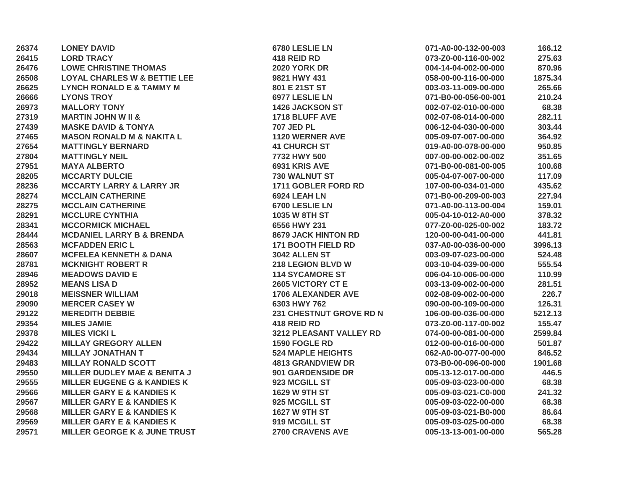| 26374 | <b>LONEY DAVID</b>                      | 6780 LESLIE LN             | 071-A0-00-132-00-003 | 166.12  |
|-------|-----------------------------------------|----------------------------|----------------------|---------|
| 26415 | <b>LORD TRACY</b>                       | 418 REID RD                | 073-Z0-00-116-00-002 | 275.63  |
| 26476 | <b>LOWE CHRISTINE THOMAS</b>            | <b>2020 YORK DR</b>        | 004-14-04-002-00-000 | 870.96  |
| 26508 | <b>LOYAL CHARLES W &amp; BETTIE LEE</b> | 9821 HWY 431               | 058-00-00-116-00-000 | 1875.34 |
| 26625 | <b>LYNCH RONALD E &amp; TAMMY M</b>     | 801 E 21ST ST              | 003-03-11-009-00-000 | 265.66  |
| 26666 | <b>LYONS TROY</b>                       | 6977 LESLIE LN             | 071-B0-00-056-00-001 | 210.24  |
| 26973 | <b>MALLORY TONY</b>                     | <b>1426 JACKSON ST</b>     | 002-07-02-010-00-000 | 68.38   |
| 27319 | <b>MARTIN JOHN W II &amp;</b>           | 1718 BLUFF AVE             | 002-07-08-014-00-000 | 282.11  |
| 27439 | <b>MASKE DAVID &amp; TONYA</b>          | <b>707 JED PL</b>          | 006-12-04-030-00-000 | 303.44  |
| 27465 | <b>MASON RONALD M &amp; NAKITA L</b>    | 1120 WERNER AVE            | 005-09-07-007-00-000 | 364.92  |
| 27654 | <b>MATTINGLY BERNARD</b>                | <b>41 CHURCH ST</b>        | 019-A0-00-078-00-000 | 950.85  |
| 27804 | <b>MATTINGLY NEIL</b>                   | 7732 HWY 500               | 007-00-00-002-00-002 | 351.65  |
| 27951 | <b>MAYA ALBERTO</b>                     | 6931 KRIS AVE              | 071-B0-00-081-00-005 | 100.68  |
| 28205 | <b>MCCARTY DULCIE</b>                   | 730 WALNUT ST              | 005-04-07-007-00-000 | 117.09  |
| 28236 | <b>MCCARTY LARRY &amp; LARRY JR</b>     | 1711 GOBLER FORD RD        | 107-00-00-034-01-000 | 435.62  |
| 28274 | <b>MCCLAIN CATHERINE</b>                | 6924 LEAH LN               | 071-B0-00-209-00-003 | 227.94  |
| 28275 | <b>MCCLAIN CATHERINE</b>                | 6700 LESLIE LN             | 071-A0-00-113-00-004 | 159.01  |
| 28291 | <b>MCCLURE CYNTHIA</b>                  | <b>1035 W 8TH ST</b>       | 005-04-10-012-A0-000 | 378.32  |
| 28341 | <b>MCCORMICK MICHAEL</b>                | 6556 HWY 231               | 077-Z0-00-025-00-002 | 183.72  |
| 28444 | <b>MCDANIEL LARRY B &amp; BRENDA</b>    | <b>8679 JACK HINTON RD</b> | 120-00-00-041-00-000 | 441.81  |
| 28563 | <b>MCFADDEN ERIC L</b>                  | <b>171 BOOTH FIELD RD</b>  | 037-A0-00-036-00-000 | 3996.13 |
| 28607 | <b>MCFELEA KENNETH &amp; DANA</b>       | 3042 ALLEN ST              | 003-09-07-023-00-000 | 524.48  |
| 28781 | <b>MCKNIGHT ROBERT R</b>                | 218 LEGION BLVD W          | 003-10-04-039-00-000 | 555.54  |
| 28946 | <b>MEADOWS DAVID E</b>                  | <b>114 SYCAMORE ST</b>     | 006-04-10-006-00-000 | 110.99  |
| 28952 | <b>MEANS LISA D</b>                     | 2605 VICTORY CT E          | 003-13-09-002-00-000 | 281.51  |
| 29018 | <b>MEISSNER WILLIAM</b>                 | <b>1706 ALEXANDER AVE</b>  | 002-08-09-002-00-000 | 226.7   |
| 29090 | <b>MERCER CASEY W</b>                   | 6303 HWY 762               | 090-00-00-109-00-000 | 126.31  |
| 29122 | <b>MEREDITH DEBBIE</b>                  | 231 CHESTNUT GROVE RD N    | 106-00-00-036-00-000 | 5212.13 |
| 29354 | <b>MILES JAMIE</b>                      | 418 REID RD                | 073-Z0-00-117-00-002 | 155.47  |
| 29378 | <b>MILES VICKI L</b>                    | 3212 PLEASANT VALLEY RD    | 074-00-00-081-00-000 | 2599.84 |
| 29422 | <b>MILLAY GREGORY ALLEN</b>             | 1590 FOGLE RD              | 012-00-00-016-00-000 | 501.87  |
| 29434 | <b>MILLAY JONATHAN T</b>                | <b>524 MAPLE HEIGHTS</b>   | 062-A0-00-077-00-000 | 846.52  |
| 29483 | <b>MILLAY RONALD SCOTT</b>              | <b>4813 GRANDVIEW DR</b>   | 073-B0-00-096-00-000 | 1901.68 |
| 29550 | <b>MILLER DUDLEY MAE &amp; BENITA J</b> | 901 GARDENSIDE DR          | 005-13-12-017-00-000 | 446.5   |
| 29555 | <b>MILLER EUGENE G &amp; KANDIES K</b>  | 923 MCGILL ST              | 005-09-03-023-00-000 | 68.38   |
| 29566 | <b>MILLER GARY E &amp; KANDIES K</b>    | 1629 W 9TH ST              | 005-09-03-021-C0-000 | 241.32  |
| 29567 | <b>MILLER GARY E &amp; KANDIES K</b>    | 925 MCGILL ST              | 005-09-03-022-00-000 | 68.38   |
| 29568 | <b>MILLER GARY E &amp; KANDIES K</b>    | 1627 W 9TH ST              | 005-09-03-021-B0-000 | 86.64   |
| 29569 | <b>MILLER GARY E &amp; KANDIES K</b>    | 919 MCGILL ST              | 005-09-03-025-00-000 | 68.38   |
| 29571 | <b>MILLER GEORGE K &amp; JUNE TRUST</b> | <b>2700 CRAVENS AVE</b>    | 005-13-13-001-00-000 | 565.28  |
|       |                                         |                            |                      |         |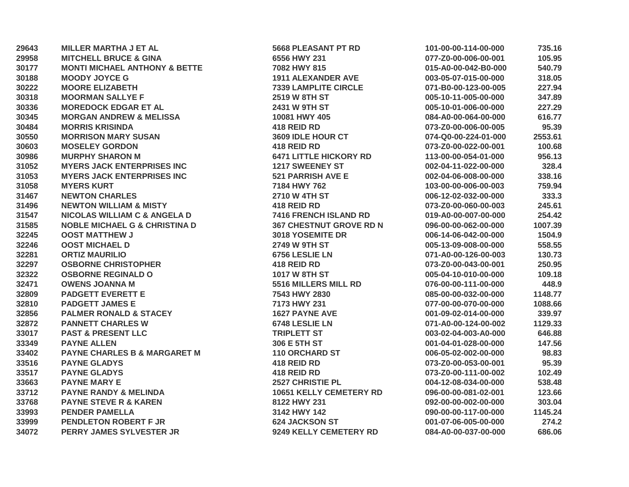| 29643 | <b>MILLER MARTHA J ET AL</b>             | <b>5668 PLEASANT PT RD</b>     | 101-00-00-114-00-000 | 735.16  |
|-------|------------------------------------------|--------------------------------|----------------------|---------|
| 29958 | <b>MITCHELL BRUCE &amp; GINA</b>         | 6556 HWY 231                   | 077-Z0-00-006-00-001 | 105.95  |
| 30177 | <b>MONTI MICHAEL ANTHONY &amp; BETTE</b> | 7082 HWY 815                   | 015-A0-00-042-B0-000 | 540.79  |
| 30188 | <b>MOODY JOYCE G</b>                     | <b>1911 ALEXANDER AVE</b>      | 003-05-07-015-00-000 | 318.05  |
| 30222 | <b>MOORE ELIZABETH</b>                   | <b>7339 LAMPLITE CIRCLE</b>    | 071-B0-00-123-00-005 | 227.94  |
| 30318 | <b>MOORMAN SALLYE F</b>                  | 2519 W 8TH ST                  | 005-10-11-005-00-000 | 347.89  |
| 30336 | <b>MOREDOCK EDGAR ET AL</b>              | 2431 W 9TH ST                  | 005-10-01-006-00-000 | 227.29  |
| 30345 | <b>MORGAN ANDREW &amp; MELISSA</b>       | 10081 HWY 405                  | 084-A0-00-064-00-000 | 616.77  |
| 30484 | <b>MORRIS KRISINDA</b>                   | 418 REID RD                    | 073-Z0-00-006-00-005 | 95.39   |
| 30550 | <b>MORRISON MARY SUSAN</b>               | 3609 IDLE HOUR CT              | 074-Q0-00-224-01-000 | 2553.61 |
| 30603 | <b>MOSELEY GORDON</b>                    | 418 REID RD                    | 073-Z0-00-022-00-001 | 100.68  |
| 30986 | <b>MURPHY SHARON M</b>                   | <b>6471 LITTLE HICKORY RD</b>  | 113-00-00-054-01-000 | 956.13  |
| 31052 | <b>MYERS JACK ENTERPRISES INC</b>        | <b>1217 SWEENEY ST</b>         | 002-04-11-022-00-000 | 328.4   |
| 31053 | <b>MYERS JACK ENTERPRISES INC</b>        | <b>521 PARRISH AVE E</b>       | 002-04-06-008-00-000 | 338.16  |
| 31058 | <b>MYERS KURT</b>                        | 7184 HWY 762                   | 103-00-00-006-00-003 | 759.94  |
| 31467 | <b>NEWTON CHARLES</b>                    | 2710 W 4TH ST                  | 006-12-02-032-00-000 | 333.3   |
| 31496 | <b>NEWTON WILLIAM &amp; MISTY</b>        | 418 REID RD                    | 073-Z0-00-060-00-003 | 245.61  |
| 31547 | <b>NICOLAS WILLIAM C &amp; ANGELA D</b>  | 7416 FRENCH ISLAND RD          | 019-A0-00-007-00-000 | 254.42  |
| 31585 | <b>NOBLE MICHAEL G &amp; CHRISTINA D</b> | <b>367 CHESTNUT GROVE RD N</b> | 096-00-00-062-00-000 | 1007.39 |
| 32245 | <b>OOST MATTHEW J</b>                    | 3018 YOSEMITE DR               | 006-14-06-042-00-000 | 1504.9  |
| 32246 | <b>OOST MICHAEL D</b>                    | 2749 W 9TH ST                  | 005-13-09-008-00-000 | 558.55  |
| 32281 | <b>ORTIZ MAURILIO</b>                    | 6756 LESLIE LN                 | 071-A0-00-126-00-003 | 130.73  |
| 32297 | <b>OSBORNE CHRISTOPHER</b>               | 418 REID RD                    | 073-Z0-00-043-00-001 | 250.95  |
| 32322 | <b>OSBORNE REGINALD O</b>                | 1017 W 8TH ST                  | 005-04-10-010-00-000 | 109.18  |
| 32471 | <b>OWENS JOANNA M</b>                    | 5516 MILLERS MILL RD           | 076-00-00-111-00-000 | 448.9   |
| 32809 | <b>PADGETT EVERETT E</b>                 | 7543 HWY 2830                  | 085-00-00-032-00-000 | 1148.77 |
| 32810 | <b>PADGETT JAMES E</b>                   | 7173 HWY 231                   | 077-00-00-070-00-000 | 1088.66 |
| 32856 | <b>PALMER RONALD &amp; STACEY</b>        | <b>1627 PAYNE AVE</b>          | 001-09-02-014-00-000 | 339.97  |
| 32872 | <b>PANNETT CHARLES W</b>                 | 6748 LESLIE LN                 | 071-A0-00-124-00-002 | 1129.33 |
| 33017 | <b>PAST &amp; PRESENT LLC</b>            | <b>TRIPLETT ST</b>             | 003-02-04-003-A0-000 | 646.88  |
| 33349 | <b>PAYNE ALLEN</b>                       | 306 E 5TH ST                   | 001-04-01-028-00-000 | 147.56  |
| 33402 | <b>PAYNE CHARLES B &amp; MARGARET M</b>  | 110 ORCHARD ST                 | 006-05-02-002-00-000 | 98.83   |
| 33516 | <b>PAYNE GLADYS</b>                      | 418 REID RD                    | 073-Z0-00-053-00-001 | 95.39   |
| 33517 | <b>PAYNE GLADYS</b>                      | 418 REID RD                    | 073-Z0-00-111-00-002 | 102.49  |
| 33663 | <b>PAYNE MARY E</b>                      | 2527 CHRISTIE PL               | 004-12-08-034-00-000 | 538.48  |
| 33712 | <b>PAYNE RANDY &amp; MELINDA</b>         | <b>10651 KELLY CEMETERY RD</b> | 096-00-00-081-02-001 | 123.66  |
| 33768 | <b>PAYNE STEVE R &amp; KAREN</b>         | 8122 HWY 231                   | 092-00-00-002-00-000 | 303.04  |
| 33993 | <b>PENDER PAMELLA</b>                    | 3142 HWY 142                   | 090-00-00-117-00-000 | 1145.24 |
| 33999 | <b>PENDLETON ROBERT F JR</b>             | <b>624 JACKSON ST</b>          | 001-07-06-005-00-000 | 274.2   |
| 34072 | PERRY JAMES SYLVESTER JR                 | 9249 KELLY CEMETERY RD         | 084-A0-00-037-00-000 | 686.06  |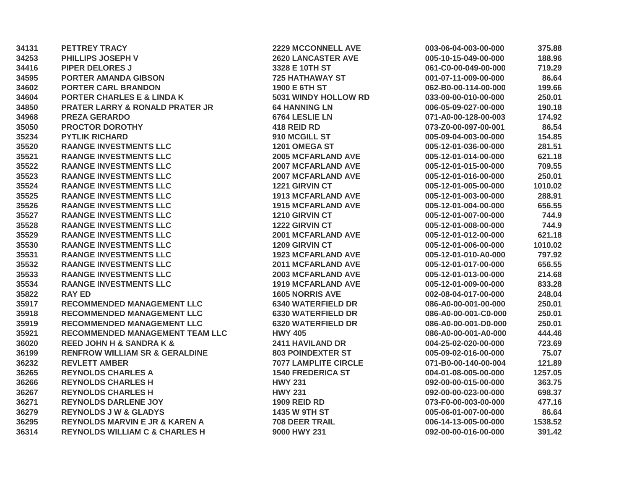| 34131 | <b>PETTREY TRACY</b>                       | <b>2229 MCCONNELL AVE</b>   | 003-06-04-003-00-000 | 375.88  |
|-------|--------------------------------------------|-----------------------------|----------------------|---------|
| 34253 | PHILLIPS JOSEPH V                          | <b>2620 LANCASTER AVE</b>   | 005-10-15-049-00-000 | 188.96  |
| 34416 | <b>PIPER DELORES J</b>                     | 3328 E 10TH ST              | 061-C0-00-049-00-000 | 719.29  |
| 34595 | <b>PORTER AMANDA GIBSON</b>                | <b>725 HATHAWAY ST</b>      | 001-07-11-009-00-000 | 86.64   |
| 34602 | <b>PORTER CARL BRANDON</b>                 | 1900 E 6TH ST               | 062-B0-00-114-00-000 | 199.66  |
| 34604 | <b>PORTER CHARLES E &amp; LINDA K</b>      | 5031 WINDY HOLLOW RD        | 033-00-00-010-00-000 | 250.01  |
| 34850 | <b>PRATER LARRY &amp; RONALD PRATER JR</b> | <b>64 HANNING LN</b>        | 006-05-09-027-00-000 | 190.18  |
| 34968 | <b>PREZA GERARDO</b>                       | 6764 LESLIE LN              | 071-A0-00-128-00-003 | 174.92  |
| 35050 | <b>PROCTOR DOROTHY</b>                     | 418 REID RD                 | 073-Z0-00-097-00-001 | 86.54   |
| 35234 | <b>PYTLIK RICHARD</b>                      | 910 MCGILL ST               | 005-09-04-003-00-000 | 154.85  |
| 35520 | <b>RAANGE INVESTMENTS LLC</b>              | 1201 OMEGA ST               | 005-12-01-036-00-000 | 281.51  |
| 35521 | <b>RAANGE INVESTMENTS LLC</b>              | <b>2005 MCFARLAND AVE</b>   | 005-12-01-014-00-000 | 621.18  |
| 35522 | <b>RAANGE INVESTMENTS LLC</b>              | <b>2007 MCFARLAND AVE</b>   | 005-12-01-015-00-000 | 709.55  |
| 35523 | <b>RAANGE INVESTMENTS LLC</b>              | <b>2007 MCFARLAND AVE</b>   | 005-12-01-016-00-000 | 250.01  |
| 35524 | <b>RAANGE INVESTMENTS LLC</b>              | 1221 GIRVIN CT              | 005-12-01-005-00-000 | 1010.02 |
| 35525 | <b>RAANGE INVESTMENTS LLC</b>              | <b>1913 MCFARLAND AVE</b>   | 005-12-01-003-00-000 | 288.91  |
| 35526 | <b>RAANGE INVESTMENTS LLC</b>              | <b>1915 MCFARLAND AVE</b>   | 005-12-01-004-00-000 | 656.55  |
| 35527 | <b>RAANGE INVESTMENTS LLC</b>              | 1210 GIRVIN CT              | 005-12-01-007-00-000 | 744.9   |
| 35528 | <b>RAANGE INVESTMENTS LLC</b>              | 1222 GIRVIN CT              | 005-12-01-008-00-000 | 744.9   |
| 35529 | <b>RAANGE INVESTMENTS LLC</b>              | <b>2001 MCFARLAND AVE</b>   | 005-12-01-012-00-000 | 621.18  |
| 35530 | <b>RAANGE INVESTMENTS LLC</b>              | 1209 GIRVIN CT              | 005-12-01-006-00-000 | 1010.02 |
| 35531 | <b>RAANGE INVESTMENTS LLC</b>              | <b>1923 MCFARLAND AVE</b>   | 005-12-01-010-A0-000 | 797.92  |
| 35532 | <b>RAANGE INVESTMENTS LLC</b>              | <b>2011 MCFARLAND AVE</b>   | 005-12-01-017-00-000 | 656.55  |
| 35533 | <b>RAANGE INVESTMENTS LLC</b>              | <b>2003 MCFARLAND AVE</b>   | 005-12-01-013-00-000 | 214.68  |
| 35534 | <b>RAANGE INVESTMENTS LLC</b>              | <b>1919 MCFARLAND AVE</b>   | 005-12-01-009-00-000 | 833.28  |
| 35822 | <b>RAY ED</b>                              | <b>1605 NORRIS AVE</b>      | 002-08-04-017-00-000 | 248.04  |
| 35917 | <b>RECOMMENDED MANAGEMENT LLC</b>          | <b>6340 WATERFIELD DR</b>   | 086-A0-00-001-00-000 | 250.01  |
| 35918 | <b>RECOMMENDED MANAGEMENT LLC</b>          | <b>6330 WATERFIELD DR</b>   | 086-A0-00-001-C0-000 | 250.01  |
| 35919 | <b>RECOMMENDED MANAGEMENT LLC</b>          | <b>6320 WATERFIELD DR</b>   | 086-A0-00-001-D0-000 | 250.01  |
| 35921 | <b>RECOMMENDED MANAGEMENT TEAM LLC</b>     | <b>HWY 405</b>              | 086-A0-00-001-A0-000 | 444.46  |
| 36020 | <b>REED JOHN H &amp; SANDRA K &amp;</b>    | 2411 HAVILAND DR            | 004-25-02-020-00-000 | 723.69  |
| 36199 | <b>RENFROW WILLIAM SR &amp; GERALDINE</b>  | <b>803 POINDEXTER ST</b>    | 005-09-02-016-00-000 | 75.07   |
| 36232 | <b>REVLETT AMBER</b>                       | <b>7077 LAMPLITE CIRCLE</b> | 071-B0-00-140-00-004 | 121.89  |
| 36265 | <b>REYNOLDS CHARLES A</b>                  | <b>1540 FREDERICA ST</b>    | 004-01-08-005-00-000 | 1257.05 |
| 36266 | <b>REYNOLDS CHARLES H</b>                  | <b>HWY 231</b>              | 092-00-00-015-00-000 | 363.75  |
| 36267 | <b>REYNOLDS CHARLES H</b>                  | <b>HWY 231</b>              | 092-00-00-023-00-000 | 698.37  |
| 36271 | <b>REYNOLDS DARLENE JOY</b>                | <b>1909 REID RD</b>         | 073-F0-00-003-00-000 | 477.16  |
| 36279 | <b>REYNOLDS J W &amp; GLADYS</b>           | 1435 W 9TH ST               | 005-06-01-007-00-000 | 86.64   |
| 36295 | <b>REYNOLDS MARVIN E JR &amp; KAREN A</b>  | <b>708 DEER TRAIL</b>       | 006-14-13-005-00-000 | 1538.52 |
| 36314 | <b>REYNOLDS WILLIAM C &amp; CHARLES H</b>  | 9000 HWY 231                | 092-00-00-016-00-000 | 391.42  |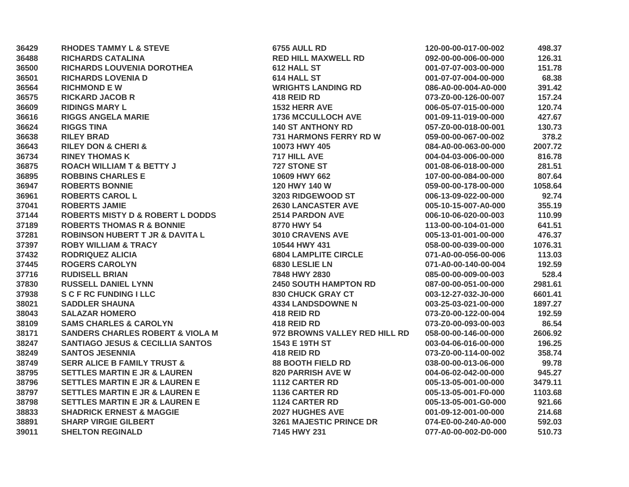| 36429 | <b>RHODES TAMMY L &amp; STEVE</b>           | 6755 AULL RD                   | 120-00-00-017-00-002 | 498.37  |
|-------|---------------------------------------------|--------------------------------|----------------------|---------|
| 36488 | <b>RICHARDS CATALINA</b>                    | <b>RED HILL MAXWELL RD</b>     | 092-00-00-006-00-000 | 126.31  |
| 36500 | RICHARDS LOUVENIA DOROTHEA                  | 612 HALL ST                    | 001-07-07-003-00-000 | 151.78  |
| 36501 | <b>RICHARDS LOVENIA D</b>                   | 614 HALL ST                    | 001-07-07-004-00-000 | 68.38   |
| 36564 | <b>RICHMOND E W</b>                         | <b>WRIGHTS LANDING RD</b>      | 086-A0-00-004-A0-000 | 391.42  |
| 36575 | <b>RICKARD JACOB R</b>                      | 418 REID RD                    | 073-Z0-00-126-00-007 | 157.24  |
| 36609 | <b>RIDINGS MARY L</b>                       | 1532 HERR AVE                  | 006-05-07-015-00-000 | 120.74  |
| 36616 | <b>RIGGS ANGELA MARIE</b>                   | <b>1736 MCCULLOCH AVE</b>      | 001-09-11-019-00-000 | 427.67  |
| 36624 | <b>RIGGS TINA</b>                           | <b>140 ST ANTHONY RD</b>       | 057-Z0-00-018-00-001 | 130.73  |
| 36638 | <b>RILEY BRAD</b>                           | <b>731 HARMONS FERRY RD W</b>  | 059-00-00-067-00-002 | 378.2   |
| 36643 | <b>RILEY DON &amp; CHERI &amp;</b>          | 10073 HWY 405                  | 084-A0-00-063-00-000 | 2007.72 |
| 36734 | <b>RINEY THOMAS K</b>                       | 717 HILL AVE                   | 004-04-03-006-00-000 | 816.78  |
| 36875 | <b>ROACH WILLIAM T &amp; BETTY J</b>        | 727 STONE ST                   | 001-08-06-018-00-000 | 281.51  |
| 36895 | <b>ROBBINS CHARLES E</b>                    | 10609 HWY 662                  | 107-00-00-084-00-000 | 807.64  |
| 36947 | <b>ROBERTS BONNIE</b>                       | 120 HWY 140 W                  | 059-00-00-178-00-000 | 1058.64 |
| 36961 | <b>ROBERTS CAROL L</b>                      | 3203 RIDGEWOOD ST              | 006-13-09-022-00-000 | 92.74   |
| 37041 | <b>ROBERTS JAMIE</b>                        | <b>2630 LANCASTER AVE</b>      | 005-10-15-007-A0-000 | 355.19  |
| 37144 | <b>ROBERTS MISTY D &amp; ROBERT L DODDS</b> | <b>2514 PARDON AVE</b>         | 006-10-06-020-00-003 | 110.99  |
| 37189 | <b>ROBERTS THOMAS R &amp; BONNIE</b>        | 8770 HWY 54                    | 113-00-00-104-01-000 | 641.51  |
| 37281 | <b>ROBINSON HUBERT T JR &amp; DAVITA L</b>  | 3010 CRAVENS AVE               | 005-13-01-001-00-000 | 476.37  |
| 37397 | <b>ROBY WILLIAM &amp; TRACY</b>             | 10544 HWY 431                  | 058-00-00-039-00-000 | 1076.31 |
| 37432 | <b>RODRIQUEZ ALICIA</b>                     | <b>6804 LAMPLITE CIRCLE</b>    | 071-A0-00-056-00-006 | 113.03  |
| 37445 | <b>ROGERS CAROLYN</b>                       | 6830 LESLIE LN                 | 071-A0-00-140-00-004 | 192.59  |
| 37716 | <b>RUDISELL BRIAN</b>                       | 7848 HWY 2830                  | 085-00-00-009-00-003 | 528.4   |
| 37830 | <b>RUSSELL DANIEL LYNN</b>                  | <b>2450 SOUTH HAMPTON RD</b>   | 087-00-00-051-00-000 | 2981.61 |
| 37938 | <b>S C F RC FUNDING I LLC</b>               | 830 CHUCK GRAY CT              | 003-12-27-032-J0-000 | 6601.41 |
| 38021 | <b>SADDLER SHAUNA</b>                       | <b>4334 LANDSDOWNE N</b>       | 003-25-03-021-00-000 | 1897.27 |
| 38043 | <b>SALAZAR HOMERO</b>                       | 418 REID RD                    | 073-Z0-00-122-00-004 | 192.59  |
| 38109 | <b>SAMS CHARLES &amp; CAROLYN</b>           | 418 REID RD                    | 073-Z0-00-093-00-003 | 86.54   |
| 38171 | <b>SANDERS CHARLES ROBERT &amp; VIOLA M</b> | 972 BROWNS VALLEY RED HILL RD  | 058-00-00-146-00-000 | 2606.92 |
| 38247 | <b>SANTIAGO JESUS &amp; CECILLIA SANTOS</b> | 1543 E 19TH ST                 | 003-04-06-016-00-000 | 196.25  |
| 38249 | <b>SANTOS JESENNIA</b>                      | 418 REID RD                    | 073-Z0-00-114-00-002 | 358.74  |
| 38749 | <b>SERR ALICE B FAMILY TRUST &amp;</b>      | <b>88 BOOTH FIELD RD</b>       | 038-00-00-013-06-000 | 99.78   |
| 38795 | <b>SETTLES MARTIN E JR &amp; LAUREN</b>     | <b>820 PARRISH AVE W</b>       | 004-06-02-042-00-000 | 945.27  |
| 38796 | <b>SETTLES MARTIN E JR &amp; LAUREN E</b>   | <b>1112 CARTER RD</b>          | 005-13-05-001-00-000 | 3479.11 |
| 38797 | <b>SETTLES MARTIN E JR &amp; LAUREN E</b>   | <b>1136 CARTER RD</b>          | 005-13-05-001-F0-000 | 1103.68 |
| 38798 | <b>SETTLES MARTIN E JR &amp; LAUREN E</b>   | <b>1124 CARTER RD</b>          | 005-13-05-001-G0-000 | 921.66  |
| 38833 | <b>SHADRICK ERNEST &amp; MAGGIE</b>         | <b>2027 HUGHES AVE</b>         | 001-09-12-001-00-000 | 214.68  |
| 38891 | <b>SHARP VIRGIE GILBERT</b>                 | <b>3261 MAJESTIC PRINCE DR</b> | 074-E0-00-240-A0-000 | 592.03  |
| 39011 | <b>SHELTON REGINALD</b>                     | 7145 HWY 231                   | 077-A0-00-002-D0-000 | 510.73  |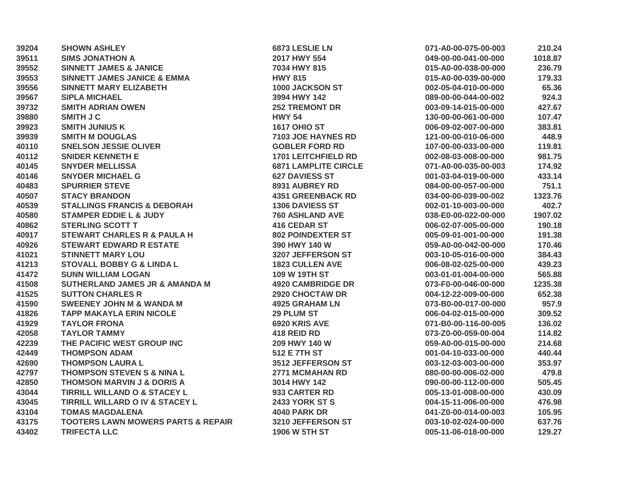| 39204 | <b>SHOWN ASHLEY</b>                           | 6873 LESLIE LN              | 071-A0-00-075-00-003 | 210.24  |
|-------|-----------------------------------------------|-----------------------------|----------------------|---------|
| 39511 | <b>SIMS JONATHON A</b>                        | 2017 HWY 554                | 049-00-00-041-00-000 | 1018.87 |
| 39552 | <b>SINNETT JAMES &amp; JANICE</b>             | 7034 HWY 815                | 015-A0-00-038-00-000 | 236.79  |
| 39553 | <b>SINNETT JAMES JANICE &amp; EMMA</b>        | <b>HWY 815</b>              | 015-A0-00-039-00-000 | 179.33  |
| 39556 | <b>SINNETT MARY ELIZABETH</b>                 | 1000 JACKSON ST             | 002-05-04-010-00-000 | 65.36   |
| 39567 | <b>SIPLA MICHAEL</b>                          | 3994 HWY 142                | 089-00-00-044-00-002 | 924.3   |
| 39732 | <b>SMITH ADRIAN OWEN</b>                      | <b>252 TREMONT DR</b>       | 003-09-14-015-00-000 | 427.67  |
| 39880 | <b>SMITH J C</b>                              | <b>HWY 54</b>               | 130-00-00-061-00-000 | 107.47  |
| 39923 | <b>SMITH JUNIUS K</b>                         | <b>1617 OHIO ST</b>         | 006-09-02-007-00-000 | 383.81  |
| 39939 | <b>SMITH M DOUGLAS</b>                        | 7103 JOE HAYNES RD          | 121-00-00-010-06-000 | 448.9   |
| 40110 | <b>SNELSON JESSIE OLIVER</b>                  | <b>GOBLER FORD RD</b>       | 107-00-00-033-00-000 | 119.81  |
| 40112 | <b>SNIDER KENNETH E</b>                       | <b>1701 LEITCHFIELD RD</b>  | 002-08-03-008-00-000 | 981.75  |
| 40145 | <b>SNYDER MELLISSA</b>                        | <b>6871 LAMPLITE CIRCLE</b> | 071-A0-00-035-00-003 | 174.92  |
| 40146 | <b>SNYDER MICHAEL G</b>                       | <b>627 DAVIESS ST</b>       | 001-03-04-019-00-000 | 433.14  |
| 40483 | <b>SPURRIER STEVE</b>                         | 8931 AUBREY RD              | 084-00-00-057-00-000 | 751.1   |
| 40507 | <b>STACY BRANDON</b>                          | <b>4351 GREENBACK RD</b>    | 034-00-00-039-00-002 | 1323.76 |
| 40539 | <b>STALLINGS FRANCIS &amp; DEBORAH</b>        | <b>1306 DAVIESS ST</b>      | 002-01-10-003-00-000 | 402.7   |
| 40580 | <b>STAMPER EDDIE L &amp; JUDY</b>             | 760 ASHLAND AVE             | 038-E0-00-022-00-000 | 1907.02 |
| 40862 | <b>STERLING SCOTT T</b>                       | <b>416 CEDAR ST</b>         | 006-02-07-005-00-000 | 190.18  |
| 40917 | <b>STEWART CHARLES R &amp; PAULA H</b>        | <b>802 POINDEXTER ST</b>    | 005-09-01-001-00-000 | 191.38  |
| 40926 | <b>STEWART EDWARD R ESTATE</b>                | 390 HWY 140 W               | 059-A0-00-042-00-000 | 170.46  |
| 41021 | <b>STINNETT MARY LOU</b>                      | 3207 JEFFERSON ST           | 003-10-05-016-00-000 | 384.43  |
| 41213 | <b>STOVALL BOBBY G &amp; LINDA L</b>          | <b>1823 CULLEN AVE</b>      | 006-08-02-025-00-000 | 439.23  |
| 41472 | <b>SUNN WILLIAM LOGAN</b>                     | 109 W 19TH ST               | 003-01-01-004-00-000 | 565.88  |
| 41508 | <b>SUTHERLAND JAMES JR &amp; AMANDA M</b>     | <b>4920 CAMBRIDGE DR</b>    | 073-F0-00-046-00-000 | 1235.38 |
| 41525 | <b>SUTTON CHARLES R</b>                       | 2920 CHOCTAW DR             | 004-12-22-009-00-000 | 652.38  |
| 41590 | <b>SWEENEY JOHN M &amp; WANDA M</b>           | <b>4925 GRAHAM LN</b>       | 073-B0-00-017-00-000 | 957.9   |
| 41826 | <b>TAPP MAKAYLA ERIN NICOLE</b>               | 29 PLUM ST                  | 006-04-02-015-00-000 | 309.52  |
| 41929 | <b>TAYLOR FRONA</b>                           | 6920 KRIS AVE               | 071-B0-00-116-00-005 | 136.02  |
| 42058 | <b>TAYLOR TAMMY</b>                           | 418 REID RD                 | 073-Z0-00-059-00-004 | 114.82  |
| 42239 | THE PACIFIC WEST GROUP INC                    | 209 HWY 140 W               | 059-A0-00-015-00-000 | 214.68  |
| 42449 | <b>THOMPSON ADAM</b>                          | <b>512 E 7TH ST</b>         | 001-04-10-033-00-000 | 440.44  |
| 42690 | <b>THOMPSON LAURA L</b>                       | <b>3512 JEFFERSON ST</b>    | 003-12-03-003-00-000 | 353.97  |
| 42797 | <b>THOMPSON STEVEN S &amp; NINA L</b>         | 2771 MCMAHAN RD             | 080-00-00-006-02-000 | 479.8   |
| 42850 | <b>THOMSON MARVIN J &amp; DORIS A</b>         | 3014 HWY 142                | 090-00-00-112-00-000 | 505.45  |
| 43044 | <b>TIRRILL WILLAND O &amp; STACEY L</b>       | 933 CARTER RD               | 005-13-01-008-00-000 | 430.09  |
| 43045 | TIRRILL WILLARD O IV & STACEY L               | <b>2433 YORK ST S</b>       | 004-15-11-006-00-000 | 476.98  |
| 43104 | <b>TOMAS MAGDALENA</b>                        | <b>4040 PARK DR</b>         | 041-Z0-00-014-00-003 | 105.95  |
| 43175 | <b>TOOTERS LAWN MOWERS PARTS &amp; REPAIR</b> | 3210 JEFFERSON ST           | 003-10-02-024-00-000 | 637.76  |
| 43402 | <b>TRIFECTA LLC</b>                           | <b>1906 W 5TH ST</b>        | 005-11-06-018-00-000 | 129.27  |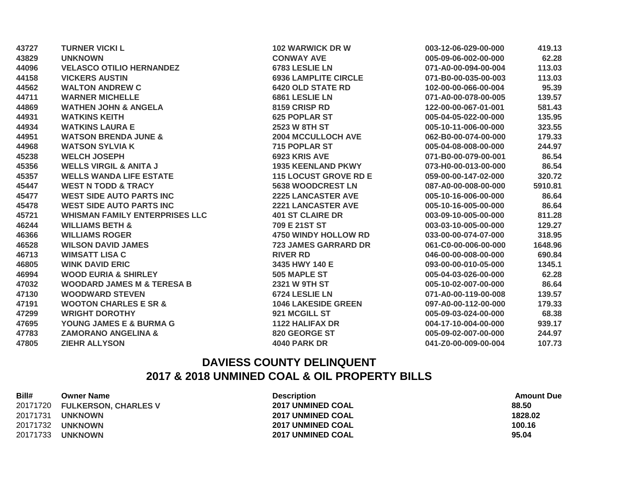| 43727 | <b>TURNER VICKI L</b>                 | <b>102 WARWICK DR W</b>      | 003-12-06-029-00-000 | 419.13  |
|-------|---------------------------------------|------------------------------|----------------------|---------|
| 43829 | <b>UNKNOWN</b>                        | <b>CONWAY AVE</b>            | 005-09-06-002-00-000 | 62.28   |
| 44096 | <b>VELASCO OTILIO HERNANDEZ</b>       | 6783 LESLIE LN               | 071-A0-00-094-00-004 | 113.03  |
| 44158 | <b>VICKERS AUSTIN</b>                 | <b>6936 LAMPLITE CIRCLE</b>  | 071-B0-00-035-00-003 | 113.03  |
| 44562 | <b>WALTON ANDREW C</b>                | <b>6420 OLD STATE RD</b>     | 102-00-00-066-00-004 | 95.39   |
| 44711 | <b>WARNER MICHELLE</b>                | 6861 LESLIE LN               | 071-A0-00-078-00-005 | 139.57  |
| 44869 | <b>WATHEN JOHN &amp; ANGELA</b>       | 8159 CRISP RD                | 122-00-00-067-01-001 | 581.43  |
| 44931 | <b>WATKINS KEITH</b>                  | <b>625 POPLAR ST</b>         | 005-04-05-022-00-000 | 135.95  |
| 44934 | <b>WATKINS LAURA E</b>                | <b>2523 W 8TH ST</b>         | 005-10-11-006-00-000 | 323.55  |
| 44951 | <b>WATSON BRENDA JUNE &amp;</b>       | <b>2004 MCCULLOCH AVE</b>    | 062-B0-00-074-00-000 | 179.33  |
| 44968 | <b>WATSON SYLVIA K</b>                | 715 POPLAR ST                | 005-04-08-008-00-000 | 244.97  |
| 45238 | <b>WELCH JOSEPH</b>                   | 6923 KRIS AVE                | 071-B0-00-079-00-001 | 86.54   |
| 45356 | <b>WELLS VIRGIL &amp; ANITA J</b>     | <b>1935 KEENLAND PKWY</b>    | 073-H0-00-013-00-000 | 86.54   |
| 45357 | <b>WELLS WANDA LIFE ESTATE</b>        | <b>115 LOCUST GROVE RD E</b> | 059-00-00-147-02-000 | 320.72  |
| 45447 | <b>WEST N TODD &amp; TRACY</b>        | <b>5638 WOODCREST LN</b>     | 087-A0-00-008-00-000 | 5910.81 |
| 45477 | <b>WEST SIDE AUTO PARTS INC</b>       | <b>2225 LANCASTER AVE</b>    | 005-10-16-006-00-000 | 86.64   |
| 45478 | <b>WEST SIDE AUTO PARTS INC</b>       | <b>2221 LANCASTER AVE</b>    | 005-10-16-005-00-000 | 86.64   |
| 45721 | <b>WHISMAN FAMILY ENTERPRISES LLC</b> | <b>401 ST CLAIRE DR</b>      | 003-09-10-005-00-000 | 811.28  |
| 46244 | <b>WILLIAMS BETH &amp;</b>            | 709 E 21ST ST                | 003-03-10-005-00-000 | 129.27  |
| 46366 | <b>WILLIAMS ROGER</b>                 | <b>4750 WINDY HOLLOW RD</b>  | 033-00-00-074-07-000 | 318.95  |
| 46528 | <b>WILSON DAVID JAMES</b>             | <b>723 JAMES GARRARD DR</b>  | 061-C0-00-006-00-000 | 1648.96 |
| 46713 | <b>WIMSATT LISA C</b>                 | <b>RIVER RD</b>              | 046-00-00-008-00-000 | 690.84  |
| 46805 | <b>WINK DAVID ERIC</b>                | 3435 HWY 140 E               | 093-00-00-010-05-000 | 1345.1  |
| 46994 | <b>WOOD EURIA &amp; SHIRLEY</b>       | 505 MAPLE ST                 | 005-04-03-026-00-000 | 62.28   |
| 47032 | <b>WOODARD JAMES M &amp; TERESA B</b> | 2321 W 9TH ST                | 005-10-02-007-00-000 | 86.64   |
| 47130 | <b>WOODWARD STEVEN</b>                | 6724 LESLIE LN               | 071-A0-00-119-00-008 | 139.57  |
| 47191 | <b>WOOTON CHARLES E SR &amp;</b>      | <b>1046 LAKESIDE GREEN</b>   | 097-A0-00-112-00-000 | 179.33  |
| 47299 | <b>WRIGHT DOROTHY</b>                 | 921 MCGILL ST                | 005-09-03-024-00-000 | 68.38   |
| 47695 | YOUNG JAMES E & BURMA G               | <b>1122 HALIFAX DR</b>       | 004-17-10-004-00-000 | 939.17  |
| 47783 | <b>ZAMORANO ANGELINA &amp;</b>        | 820 GEORGE ST                | 005-09-02-007-00-000 | 244.97  |
| 47805 | <b>ZIEHR ALLYSON</b>                  | <b>4040 PARK DR</b>          | 041-Z0-00-009-00-004 | 107.73  |

## **DAVIESS COUNTY DELINQUENT 2017 & 2018 UNMINED COAL & OIL PROPERTY BILLS**

| Bill#    | <b>Owner Name</b>             | <b>Description</b>       | <b>Amount Due</b> |
|----------|-------------------------------|--------------------------|-------------------|
|          | 20171720 FULKERSON, CHARLES V | <b>2017 UNMINED COAL</b> | 88.50             |
| 20171731 | <b>UNKNOWN</b>                | <b>2017 UNMINED COAL</b> | 1828.02           |
| 20171732 | <b>UNKNOWN</b>                | <b>2017 UNMINED COAL</b> | 100.16            |
| 20171733 | <b>UNKNOWN</b>                | <b>2017 UNMINED COAL</b> | 95.04             |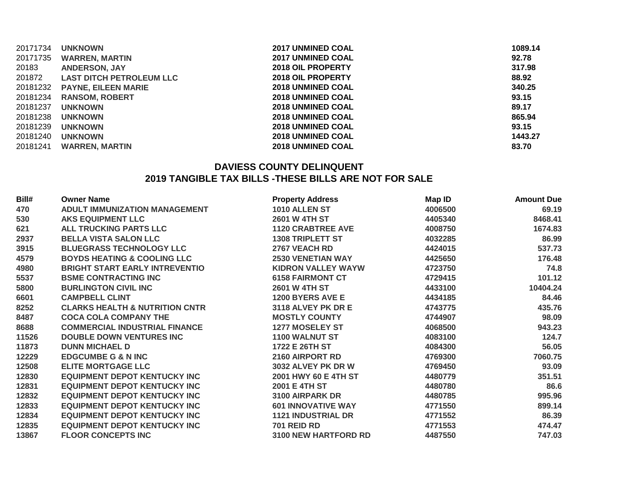| 20171734 | <b>UNKNOWN</b>                  | <b>2017 UNMINED COAL</b> | 1089.14 |
|----------|---------------------------------|--------------------------|---------|
|          | 20171735 WARREN, MARTIN         | <b>2017 UNMINED COAL</b> | 92.78   |
| 20183    | <b>ANDERSON, JAY</b>            | <b>2018 OIL PROPERTY</b> | 317.98  |
| 201872   | <b>LAST DITCH PETROLEUM LLC</b> | <b>2018 OIL PROPERTY</b> | 88.92   |
|          | 20181232 PAYNE, EILEEN MARIE    | <b>2018 UNMINED COAL</b> | 340.25  |
|          | 20181234 RANSOM, ROBERT         | <b>2018 UNMINED COAL</b> | 93.15   |
| 20181237 | <b>UNKNOWN</b>                  | <b>2018 UNMINED COAL</b> | 89.17   |
| 20181238 | <b>UNKNOWN</b>                  | <b>2018 UNMINED COAL</b> | 865.94  |
| 20181239 | <b>UNKNOWN</b>                  | <b>2018 UNMINED COAL</b> | 93.15   |
| 20181240 | <b>UNKNOWN</b>                  | <b>2018 UNMINED COAL</b> | 1443.27 |
| 20181241 | <b>WARREN, MARTIN</b>           | <b>2018 UNMINED COAL</b> | 83.70   |
|          |                                 |                          |         |

## **DAVIESS COUNTY DELINQUENT 2019 TANGIBLE TAX BILLS -THESE BILLS ARE NOT FOR SALE**

| Bill# | <b>Owner Name</b>                         | <b>Property Address</b>     | Map ID  | <b>Amount Due</b> |
|-------|-------------------------------------------|-----------------------------|---------|-------------------|
| 470   | <b>ADULT IMMUNIZATION MANAGEMENT</b>      | 1010 ALLEN ST               | 4006500 | 69.19             |
| 530   | <b>AKS EQUIPMENT LLC</b>                  | <b>2601 W 4TH ST</b>        | 4405340 | 8468.41           |
| 621   | <b>ALL TRUCKING PARTS LLC</b>             | <b>1120 CRABTREE AVE</b>    | 4008750 | 1674.83           |
| 2937  | <b>BELLA VISTA SALON LLC</b>              | <b>1308 TRIPLETT ST</b>     | 4032285 | 86.99             |
| 3915  | <b>BLUEGRASS TECHNOLOGY LLC</b>           | 2767 VEACH RD               | 4424015 | 537.73            |
| 4579  | <b>BOYDS HEATING &amp; COOLING LLC</b>    | <b>2530 VENETIAN WAY</b>    | 4425650 | 176.48            |
| 4980  | <b>BRIGHT START EARLY INTREVENTIO</b>     | <b>KIDRON VALLEY WAYW</b>   | 4723750 | 74.8              |
| 5537  | <b>BSME CONTRACTING INC</b>               | <b>6158 FAIRMONT CT</b>     | 4729415 | 101.12            |
| 5800  | <b>BURLINGTON CIVIL INC</b>               | 2601 W 4TH ST               | 4433100 | 10404.24          |
| 6601  | <b>CAMPBELL CLINT</b>                     | <b>1200 BYERS AVE E</b>     | 4434185 | 84.46             |
| 8252  | <b>CLARKS HEALTH &amp; NUTRITION CNTR</b> | 3118 ALVEY PK DR E          | 4743775 | 435.76            |
| 8487  | <b>COCA COLA COMPANY THE</b>              | <b>MOSTLY COUNTY</b>        | 4744907 | 98.09             |
| 8688  | <b>COMMERCIAL INDUSTRIAL FINANCE</b>      | <b>1277 MOSELEY ST</b>      | 4068500 | 943.23            |
| 11526 | <b>DOUBLE DOWN VENTURES INC</b>           | <b>1100 WALNUT ST</b>       | 4083100 | 124.7             |
| 11873 | <b>DUNN MICHAEL D</b>                     | 1722 E 26TH ST              | 4084300 | 56.05             |
| 12229 | <b>EDGCUMBE G &amp; N INC</b>             | 2160 AIRPORT RD             | 4769300 | 7060.75           |
| 12508 | <b>ELITE MORTGAGE LLC</b>                 | 3032 ALVEY PK DR W          | 4769450 | 93.09             |
| 12830 | <b>EQUIPMENT DEPOT KENTUCKY INC</b>       | 2001 HWY 60 E 4TH ST        | 4480779 | 351.51            |
| 12831 | <b>EQUIPMENT DEPOT KENTUCKY INC</b>       | 2001 E 4TH ST               | 4480780 | 86.6              |
| 12832 | <b>EQUIPMENT DEPOT KENTUCKY INC</b>       | 3100 AIRPARK DR             | 4480785 | 995.96            |
| 12833 | <b>EQUIPMENT DEPOT KENTUCKY INC</b>       | <b>601 INNOVATIVE WAY</b>   | 4771550 | 899.14            |
| 12834 | <b>EQUIPMENT DEPOT KENTUCKY INC</b>       | <b>1121 INDUSTRIAL DR</b>   | 4771552 | 86.39             |
| 12835 | <b>EQUIPMENT DEPOT KENTUCKY INC</b>       | <b>701 REID RD</b>          | 4771553 | 474.47            |
| 13867 | <b>FLOOR CONCEPTS INC</b>                 | <b>3100 NEW HARTFORD RD</b> | 4487550 | 747.03            |